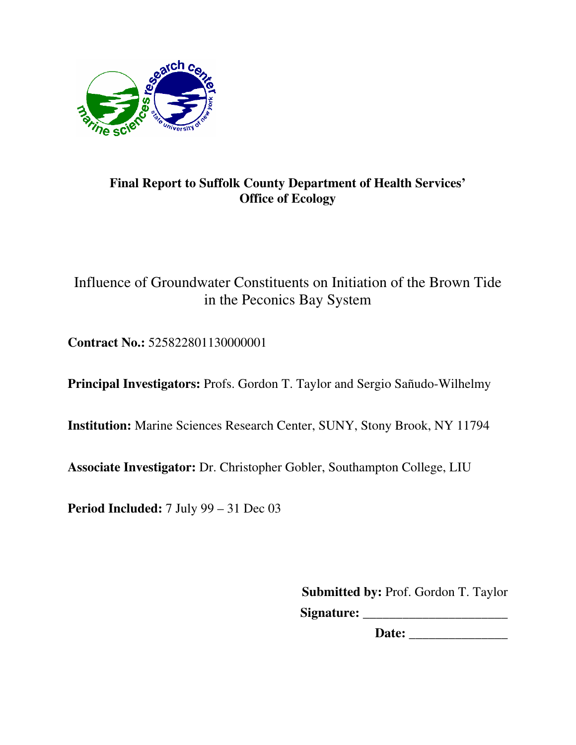

# **Final Report to Suffolk County Department of Health Services' Office of Ecology**

# Influence of Groundwater Constituents on Initiation of the Brown Tide in the Peconics Bay System

**Contract No.:** 525822801130000001

**Principal Investigators:** Profs. Gordon T. Taylor and Sergio Sañudo-Wilhelmy

**Institution:** Marine Sciences Research Center, SUNY, Stony Brook, NY 11794

**Associate Investigator:** Dr. Christopher Gobler, Southampton College, LIU

**Period Included:** 7 July 99 – 31 Dec 03

**Submitted by:** Prof. Gordon T. Taylor **Signature:** \_\_\_\_\_\_\_\_\_\_\_\_\_\_\_\_\_\_\_\_\_\_

**Date:** \_\_\_\_\_\_\_\_\_\_\_\_\_\_\_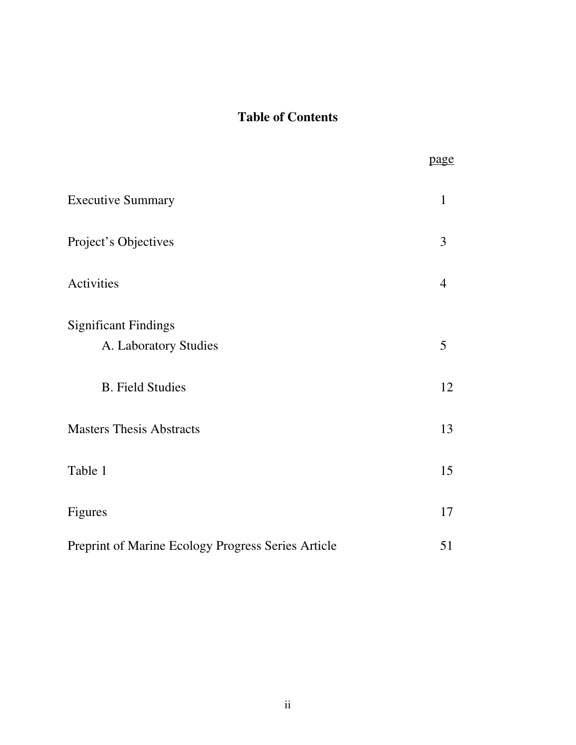# **Table of Contents**

|                                                      | page           |
|------------------------------------------------------|----------------|
| <b>Executive Summary</b>                             | $\mathbf{1}$   |
| Project's Objectives                                 | 3              |
| Activities                                           | $\overline{4}$ |
| <b>Significant Findings</b><br>A. Laboratory Studies | 5              |
| <b>B.</b> Field Studies                              | 12             |
| <b>Masters Thesis Abstracts</b>                      | 13             |
| Table 1                                              | 15             |
| Figures                                              | 17             |
| Preprint of Marine Ecology Progress Series Article   | 51             |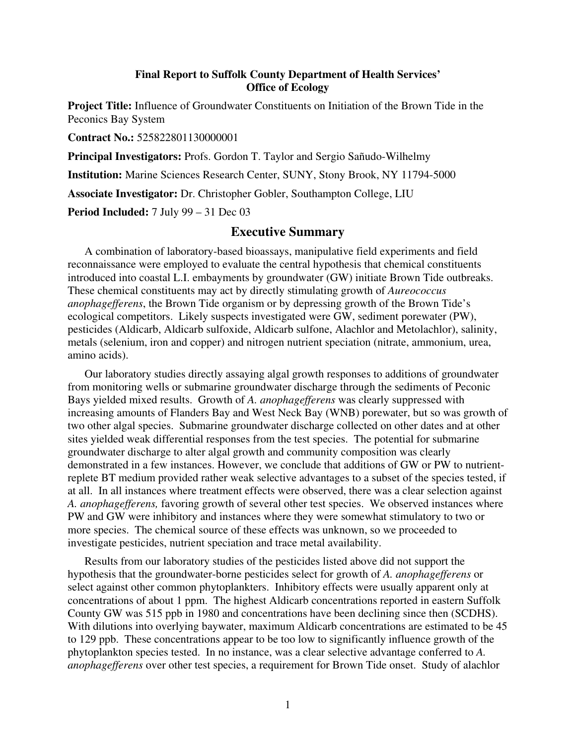#### **Final Report to Suffolk County Department of Health Services' Office of Ecology**

**Project Title:** Influence of Groundwater Constituents on Initiation of the Brown Tide in the Peconics Bay System

**Contract No.:** 525822801130000001

**Principal Investigators:** Profs. Gordon T. Taylor and Sergio Sañudo-Wilhelmy

**Institution:** Marine Sciences Research Center, SUNY, Stony Brook, NY 11794-5000

**Associate Investigator:** Dr. Christopher Gobler, Southampton College, LIU

**Period Included:** 7 July 99 – 31 Dec 03

### **Executive Summary**

A combination of laboratory-based bioassays, manipulative field experiments and field reconnaissance were employed to evaluate the central hypothesis that chemical constituents introduced into coastal L.I. embayments by groundwater (GW) initiate Brown Tide outbreaks. These chemical constituents may act by directly stimulating growth of *Aureococcus anophagefferens*, the Brown Tide organism or by depressing growth of the Brown Tide's ecological competitors. Likely suspects investigated were GW, sediment porewater (PW), pesticides (Aldicarb, Aldicarb sulfoxide, Aldicarb sulfone, Alachlor and Metolachlor), salinity, metals (selenium, iron and copper) and nitrogen nutrient speciation (nitrate, ammonium, urea, amino acids).

Our laboratory studies directly assaying algal growth responses to additions of groundwater from monitoring wells or submarine groundwater discharge through the sediments of Peconic Bays yielded mixed results. Growth of *A. anophagefferens* was clearly suppressed with increasing amounts of Flanders Bay and West Neck Bay (WNB) porewater, but so was growth of two other algal species. Submarine groundwater discharge collected on other dates and at other sites yielded weak differential responses from the test species. The potential for submarine groundwater discharge to alter algal growth and community composition was clearly demonstrated in a few instances. However, we conclude that additions of GW or PW to nutrientreplete BT medium provided rather weak selective advantages to a subset of the species tested, if at all. In all instances where treatment effects were observed, there was a clear selection against *A. anophagefferens,* favoring growth of several other test species. We observed instances where PW and GW were inhibitory and instances where they were somewhat stimulatory to two or more species. The chemical source of these effects was unknown, so we proceeded to investigate pesticides, nutrient speciation and trace metal availability.

Results from our laboratory studies of the pesticides listed above did not support the hypothesis that the groundwater-borne pesticides select for growth of *A. anophagefferens* or select against other common phytoplankters. Inhibitory effects were usually apparent only at concentrations of about 1 ppm. The highest Aldicarb concentrations reported in eastern Suffolk County GW was 515 ppb in 1980 and concentrations have been declining since then (SCDHS). With dilutions into overlying baywater, maximum Aldicarb concentrations are estimated to be 45 to 129 ppb. These concentrations appear to be too low to significantly influence growth of the phytoplankton species tested. In no instance, was a clear selective advantage conferred to *A. anophagefferens* over other test species, a requirement for Brown Tide onset. Study of alachlor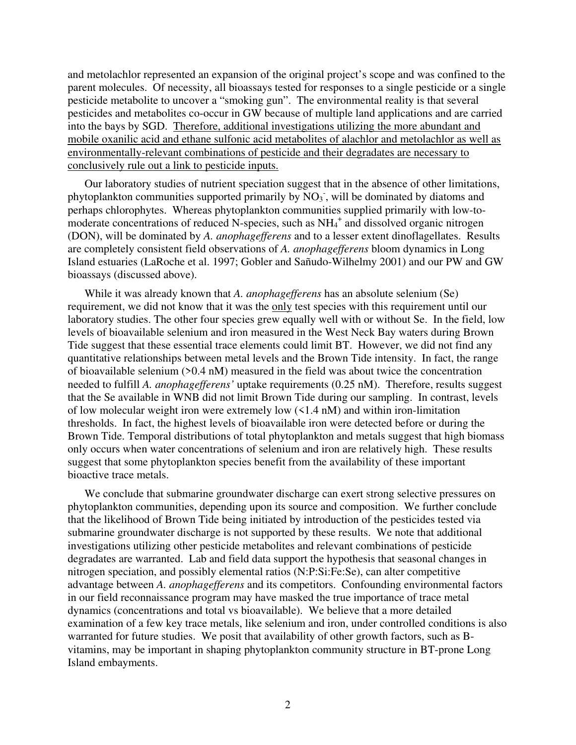and metolachlor represented an expansion of the original project's scope and was confined to the parent molecules. Of necessity, all bioassays tested for responses to a single pesticide or a single pesticide metabolite to uncover a "smoking gun". The environmental reality is that several pesticides and metabolites co-occur in GW because of multiple land applications and are carried into the bays by SGD. Therefore, additional investigations utilizing the more abundant and mobile oxanilic acid and ethane sulfonic acid metabolites of alachlor and metolachlor as well as environmentally-relevant combinations of pesticide and their degradates are necessary to conclusively rule out a link to pesticide inputs.

Our laboratory studies of nutrient speciation suggest that in the absence of other limitations, phytoplankton communities supported primarily by  $\overline{NO_3}$ , will be dominated by diatoms and perhaps chlorophytes. Whereas phytoplankton communities supplied primarily with low-tomoderate concentrations of reduced N-species, such as NH<sub>4</sub><sup>+</sup> and dissolved organic nitrogen (DON), will be dominated by *A. anophagefferens* and to a lesser extent dinoflagellates. Results are completely consistent field observations of *A. anophagefferens* bloom dynamics in Long Island estuaries (LaRoche et al. 1997; Gobler and Sañudo-Wilhelmy 2001) and our PW and GW bioassays (discussed above).

While it was already known that *A. anophagefferens* has an absolute selenium (Se) requirement, we did not know that it was the only test species with this requirement until our laboratory studies. The other four species grew equally well with or without Se. In the field, low levels of bioavailable selenium and iron measured in the West Neck Bay waters during Brown Tide suggest that these essential trace elements could limit BT. However, we did not find any quantitative relationships between metal levels and the Brown Tide intensity. In fact, the range of bioavailable selenium (>0.4 nM) measured in the field was about twice the concentration needed to fulfill *A. anophagefferens'* uptake requirements (0.25 nM). Therefore, results suggest that the Se available in WNB did not limit Brown Tide during our sampling. In contrast, levels of low molecular weight iron were extremely low (<1.4 nM) and within iron-limitation thresholds. In fact, the highest levels of bioavailable iron were detected before or during the Brown Tide. Temporal distributions of total phytoplankton and metals suggest that high biomass only occurs when water concentrations of selenium and iron are relatively high. These results suggest that some phytoplankton species benefit from the availability of these important bioactive trace metals.

We conclude that submarine groundwater discharge can exert strong selective pressures on phytoplankton communities, depending upon its source and composition. We further conclude that the likelihood of Brown Tide being initiated by introduction of the pesticides tested via submarine groundwater discharge is not supported by these results. We note that additional investigations utilizing other pesticide metabolites and relevant combinations of pesticide degradates are warranted. Lab and field data support the hypothesis that seasonal changes in nitrogen speciation, and possibly elemental ratios (N:P:Si:Fe:Se), can alter competitive advantage between *A. anophagefferens* and its competitors. Confounding environmental factors in our field reconnaissance program may have masked the true importance of trace metal dynamics (concentrations and total vs bioavailable). We believe that a more detailed examination of a few key trace metals, like selenium and iron, under controlled conditions is also warranted for future studies. We posit that availability of other growth factors, such as Bvitamins, may be important in shaping phytoplankton community structure in BT-prone Long Island embayments.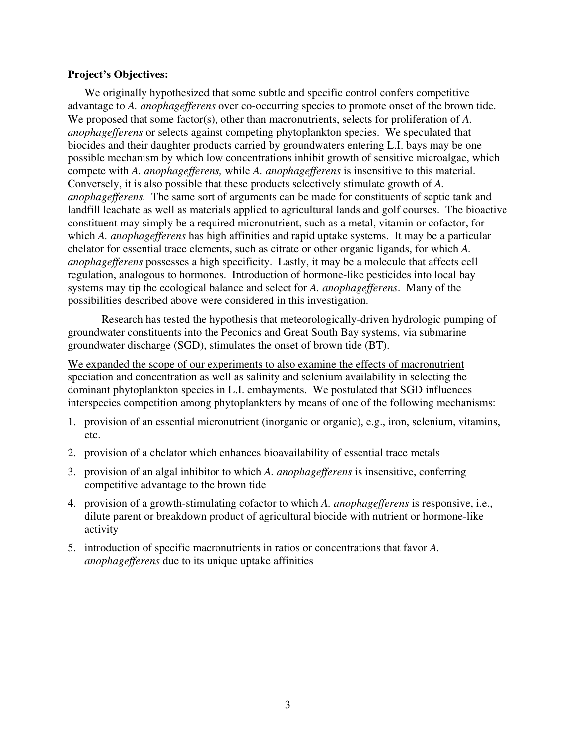#### **Project's Objectives:**

We originally hypothesized that some subtle and specific control confers competitive advantage to *A. anophagefferens* over co-occurring species to promote onset of the brown tide. We proposed that some factor(s), other than macronutrients, selects for proliferation of *A*. *anophagefferens* or selects against competing phytoplankton species. We speculated that biocides and their daughter products carried by groundwaters entering L.I. bays may be one possible mechanism by which low concentrations inhibit growth of sensitive microalgae, which compete with *A. anophagefferens,* while *A. anophagefferens* is insensitive to this material. Conversely, it is also possible that these products selectively stimulate growth of *A. anophagefferens.* The same sort of arguments can be made for constituents of septic tank and landfill leachate as well as materials applied to agricultural lands and golf courses. The bioactive constituent may simply be a required micronutrient, such as a metal, vitamin or cofactor, for which *A. anophagefferens* has high affinities and rapid uptake systems. It may be a particular chelator for essential trace elements, such as citrate or other organic ligands, for which *A. anophagefferens* possesses a high specificity. Lastly, it may be a molecule that affects cell regulation, analogous to hormones. Introduction of hormone-like pesticides into local bay systems may tip the ecological balance and select for *A. anophagefferens*. Many of the possibilities described above were considered in this investigation.

 Research has tested the hypothesis that meteorologically-driven hydrologic pumping of groundwater constituents into the Peconics and Great South Bay systems, via submarine groundwater discharge (SGD), stimulates the onset of brown tide (BT).

We expanded the scope of our experiments to also examine the effects of macronutrient speciation and concentration as well as salinity and selenium availability in selecting the dominant phytoplankton species in L.I. embayments. We postulated that SGD influences interspecies competition among phytoplankters by means of one of the following mechanisms:

- 1. provision of an essential micronutrient (inorganic or organic), e.g., iron, selenium, vitamins, etc.
- 2. provision of a chelator which enhances bioavailability of essential trace metals
- 3. provision of an algal inhibitor to which *A. anophagefferens* is insensitive, conferring competitive advantage to the brown tide
- 4. provision of a growth-stimulating cofactor to which *A. anophagefferens* is responsive, i.e., dilute parent or breakdown product of agricultural biocide with nutrient or hormone-like activity
- 5. introduction of specific macronutrients in ratios or concentrations that favor *A. anophagefferens* due to its unique uptake affinities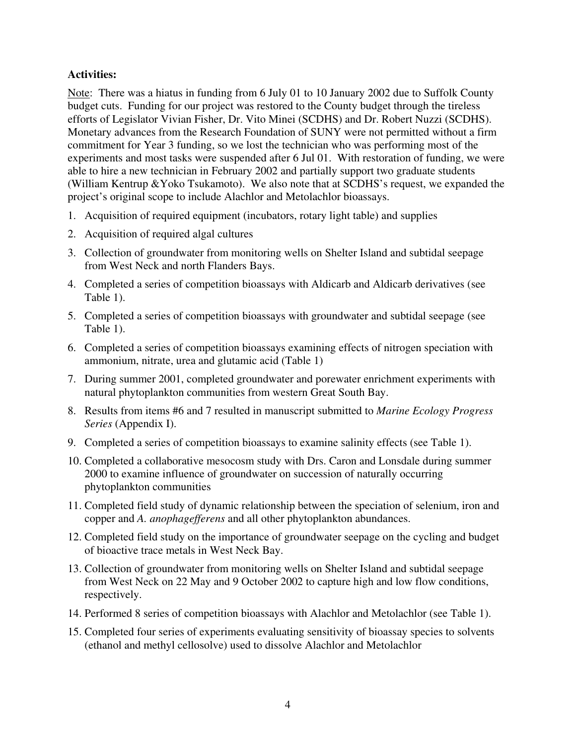## **Activities:**

Note: There was a hiatus in funding from 6 July 01 to 10 January 2002 due to Suffolk County budget cuts. Funding for our project was restored to the County budget through the tireless efforts of Legislator Vivian Fisher, Dr. Vito Minei (SCDHS) and Dr. Robert Nuzzi (SCDHS). Monetary advances from the Research Foundation of SUNY were not permitted without a firm commitment for Year 3 funding, so we lost the technician who was performing most of the experiments and most tasks were suspended after 6 Jul 01. With restoration of funding, we were able to hire a new technician in February 2002 and partially support two graduate students (William Kentrup &Yoko Tsukamoto). We also note that at SCDHS's request, we expanded the project's original scope to include Alachlor and Metolachlor bioassays.

- 1. Acquisition of required equipment (incubators, rotary light table) and supplies
- 2. Acquisition of required algal cultures
- 3. Collection of groundwater from monitoring wells on Shelter Island and subtidal seepage from West Neck and north Flanders Bays.
- 4. Completed a series of competition bioassays with Aldicarb and Aldicarb derivatives (see Table 1).
- 5. Completed a series of competition bioassays with groundwater and subtidal seepage (see Table 1).
- 6. Completed a series of competition bioassays examining effects of nitrogen speciation with ammonium, nitrate, urea and glutamic acid (Table 1)
- 7. During summer 2001, completed groundwater and porewater enrichment experiments with natural phytoplankton communities from western Great South Bay.
- 8. Results from items #6 and 7 resulted in manuscript submitted to *Marine Ecology Progress Series* (Appendix I).
- 9. Completed a series of competition bioassays to examine salinity effects (see Table 1).
- 10. Completed a collaborative mesocosm study with Drs. Caron and Lonsdale during summer 2000 to examine influence of groundwater on succession of naturally occurring phytoplankton communities
- 11. Completed field study of dynamic relationship between the speciation of selenium, iron and copper and *A. anophagefferens* and all other phytoplankton abundances.
- 12. Completed field study on the importance of groundwater seepage on the cycling and budget of bioactive trace metals in West Neck Bay.
- 13. Collection of groundwater from monitoring wells on Shelter Island and subtidal seepage from West Neck on 22 May and 9 October 2002 to capture high and low flow conditions, respectively.
- 14. Performed 8 series of competition bioassays with Alachlor and Metolachlor (see Table 1).
- 15. Completed four series of experiments evaluating sensitivity of bioassay species to solvents (ethanol and methyl cellosolve) used to dissolve Alachlor and Metolachlor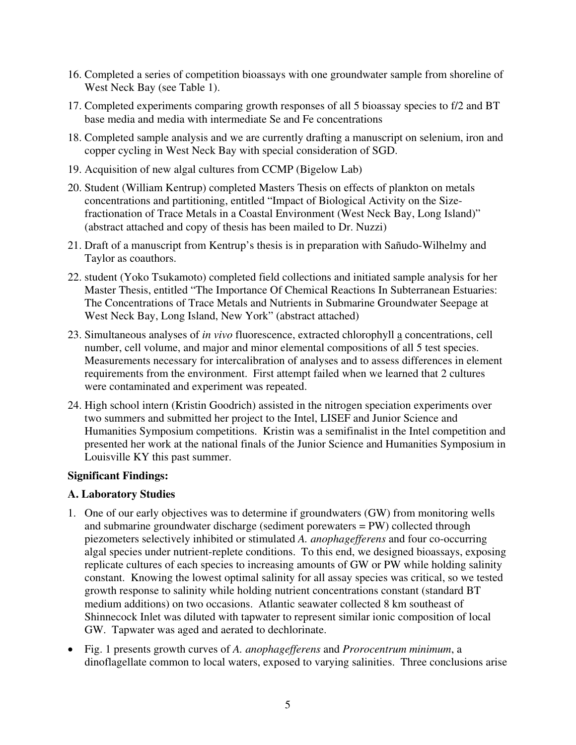- 16. Completed a series of competition bioassays with one groundwater sample from shoreline of West Neck Bay (see Table 1).
- 17. Completed experiments comparing growth responses of all 5 bioassay species to f/2 and BT base media and media with intermediate Se and Fe concentrations
- 18. Completed sample analysis and we are currently drafting a manuscript on selenium, iron and copper cycling in West Neck Bay with special consideration of SGD.
- 19. Acquisition of new algal cultures from CCMP (Bigelow Lab)
- 20. Student (William Kentrup) completed Masters Thesis on effects of plankton on metals concentrations and partitioning, entitled "Impact of Biological Activity on the Sizefractionation of Trace Metals in a Coastal Environment (West Neck Bay, Long Island)" (abstract attached and copy of thesis has been mailed to Dr. Nuzzi)
- 21. Draft of a manuscript from Kentrup's thesis is in preparation with Sañudo-Wilhelmy and Taylor as coauthors.
- 22. student (Yoko Tsukamoto) completed field collections and initiated sample analysis for her Master Thesis, entitled "The Importance Of Chemical Reactions In Subterranean Estuaries: The Concentrations of Trace Metals and Nutrients in Submarine Groundwater Seepage at West Neck Bay, Long Island, New York" (abstract attached)
- 23. Simultaneous analyses of *in vivo* fluorescence, extracted chlorophyll a concentrations, cell number, cell volume, and major and minor elemental compositions of all 5 test species. Measurements necessary for intercalibration of analyses and to assess differences in element requirements from the environment. First attempt failed when we learned that 2 cultures were contaminated and experiment was repeated.
- 24. High school intern (Kristin Goodrich) assisted in the nitrogen speciation experiments over two summers and submitted her project to the Intel, LISEF and Junior Science and Humanities Symposium competitions. Kristin was a semifinalist in the Intel competition and presented her work at the national finals of the Junior Science and Humanities Symposium in Louisville KY this past summer.

## **Significant Findings:**

## **A. Laboratory Studies**

- 1. One of our early objectives was to determine if groundwaters (GW) from monitoring wells and submarine groundwater discharge (sediment porewaters = PW) collected through piezometers selectively inhibited or stimulated *A. anophagefferens* and four co-occurring algal species under nutrient-replete conditions. To this end, we designed bioassays, exposing replicate cultures of each species to increasing amounts of GW or PW while holding salinity constant. Knowing the lowest optimal salinity for all assay species was critical, so we tested growth response to salinity while holding nutrient concentrations constant (standard BT medium additions) on two occasions. Atlantic seawater collected 8 km southeast of Shinnecock Inlet was diluted with tapwater to represent similar ionic composition of local GW. Tapwater was aged and aerated to dechlorinate.
- Fig. 1 presents growth curves of *A. anophagefferens* and *Prorocentrum minimum*, a dinoflagellate common to local waters, exposed to varying salinities. Three conclusions arise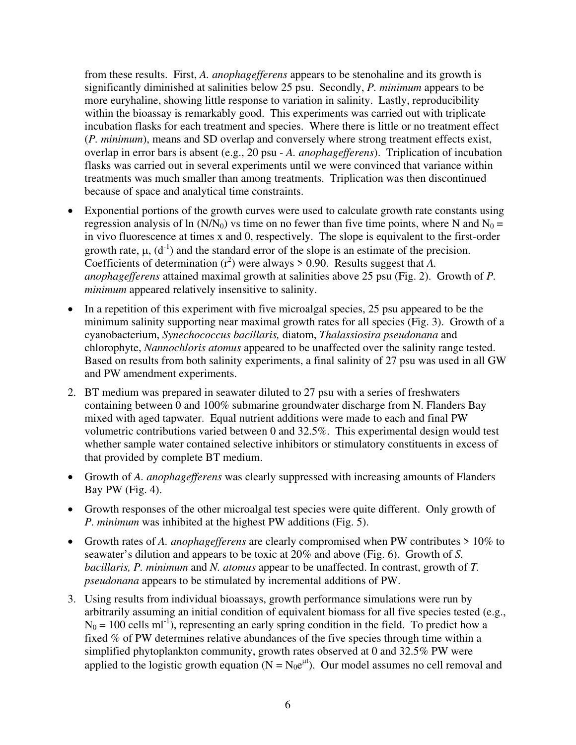from these results. First, *A. anophagefferens* appears to be stenohaline and its growth is significantly diminished at salinities below 25 psu. Secondly, *P. minimum* appears to be more euryhaline, showing little response to variation in salinity. Lastly, reproducibility within the bioassay is remarkably good. This experiments was carried out with triplicate incubation flasks for each treatment and species. Where there is little or no treatment effect (*P. minimum*), means and SD overlap and conversely where strong treatment effects exist, overlap in error bars is absent (e.g., 20 psu - *A. anophagefferens*). Triplication of incubation flasks was carried out in several experiments until we were convinced that variance within treatments was much smaller than among treatments. Triplication was then discontinued because of space and analytical time constraints.

- Exponential portions of the growth curves were used to calculate growth rate constants using regression analysis of ln (N/N<sub>0</sub>) vs time on no fewer than five time points, where N and N<sub>0</sub> = in vivo fluorescence at times x and 0, respectively. The slope is equivalent to the first-order growth rate,  $\mu$ ,  $(d^{-1})$  and the standard error of the slope is an estimate of the precision. Coefficients of determination  $(r^2)$  were always > 0.90. Results suggest that A. *anophagefferens* attained maximal growth at salinities above 25 psu (Fig. 2). Growth of *P. minimum* appeared relatively insensitive to salinity.
- In a repetition of this experiment with five microalgal species, 25 psu appeared to be the minimum salinity supporting near maximal growth rates for all species (Fig. 3). Growth of a cyanobacterium, *Synechococcus bacillaris,* diatom, *Thalassiosira pseudonana* and chlorophyte, *Nannochloris atomus* appeared to be unaffected over the salinity range tested. Based on results from both salinity experiments, a final salinity of 27 psu was used in all GW and PW amendment experiments.
- 2. BT medium was prepared in seawater diluted to 27 psu with a series of freshwaters containing between 0 and 100% submarine groundwater discharge from N. Flanders Bay mixed with aged tapwater. Equal nutrient additions were made to each and final PW volumetric contributions varied between 0 and 32.5%. This experimental design would test whether sample water contained selective inhibitors or stimulatory constituents in excess of that provided by complete BT medium.
- Growth of *A. anophagefferens* was clearly suppressed with increasing amounts of Flanders Bay PW (Fig. 4).
- Growth responses of the other microalgal test species were quite different. Only growth of *P. minimum* was inhibited at the highest PW additions (Fig. 5).
- Growth rates of *A. anophagefferens* are clearly compromised when PW contributes > 10% to seawater's dilution and appears to be toxic at 20% and above (Fig. 6). Growth of *S. bacillaris, P. minimum* and *N. atomus* appear to be unaffected. In contrast, growth of *T. pseudonana* appears to be stimulated by incremental additions of PW.
- 3. Using results from individual bioassays, growth performance simulations were run by arbitrarily assuming an initial condition of equivalent biomass for all five species tested (e.g.,  $N_0 = 100$  cells ml<sup>-1</sup>), representing an early spring condition in the field. To predict how a fixed % of PW determines relative abundances of the five species through time within a simplified phytoplankton community, growth rates observed at 0 and 32.5% PW were applied to the logistic growth equation ( $N = N_0 e^{\mu t}$ ). Our model assumes no cell removal and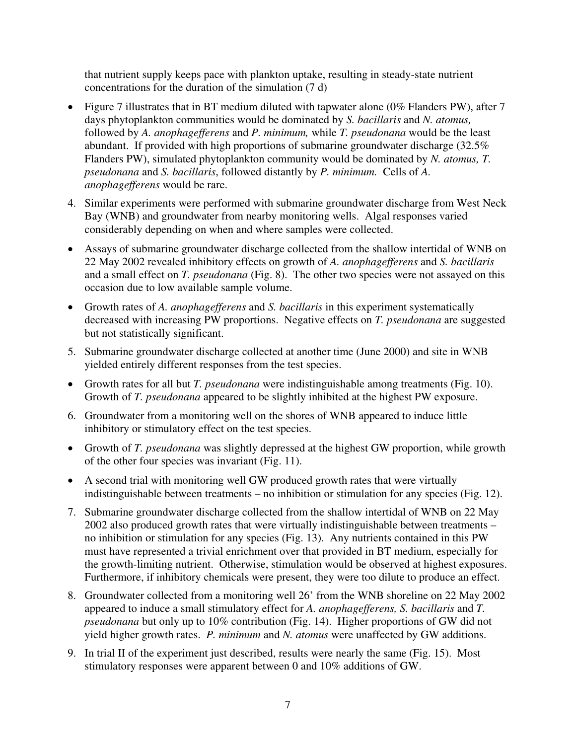that nutrient supply keeps pace with plankton uptake, resulting in steady-state nutrient concentrations for the duration of the simulation (7 d)

- Figure 7 illustrates that in BT medium diluted with tapwater alone (0% Flanders PW), after 7 days phytoplankton communities would be dominated by *S. bacillaris* and *N. atomus,*  followed by *A. anophagefferens* and *P. minimum,* while *T. pseudonana* would be the least abundant. If provided with high proportions of submarine groundwater discharge (32.5% Flanders PW), simulated phytoplankton community would be dominated by *N. atomus, T. pseudonana* and *S. bacillaris*, followed distantly by *P. minimum.* Cells of *A. anophagefferens* would be rare.
- 4. Similar experiments were performed with submarine groundwater discharge from West Neck Bay (WNB) and groundwater from nearby monitoring wells. Algal responses varied considerably depending on when and where samples were collected.
- Assays of submarine groundwater discharge collected from the shallow intertidal of WNB on 22 May 2002 revealed inhibitory effects on growth of *A. anophagefferens* and *S. bacillaris* and a small effect on *T. pseudonana* (Fig. 8). The other two species were not assayed on this occasion due to low available sample volume.
- Growth rates of *A. anophagefferens* and *S. bacillaris* in this experiment systematically decreased with increasing PW proportions. Negative effects on *T. pseudonana* are suggested but not statistically significant.
- 5. Submarine groundwater discharge collected at another time (June 2000) and site in WNB yielded entirely different responses from the test species.
- Growth rates for all but *T. pseudonana* were indistinguishable among treatments (Fig. 10). Growth of *T. pseudonana* appeared to be slightly inhibited at the highest PW exposure.
- 6. Groundwater from a monitoring well on the shores of WNB appeared to induce little inhibitory or stimulatory effect on the test species.
- Growth of *T. pseudonana* was slightly depressed at the highest GW proportion, while growth of the other four species was invariant (Fig. 11).
- A second trial with monitoring well GW produced growth rates that were virtually indistinguishable between treatments – no inhibition or stimulation for any species (Fig. 12).
- 7. Submarine groundwater discharge collected from the shallow intertidal of WNB on 22 May 2002 also produced growth rates that were virtually indistinguishable between treatments – no inhibition or stimulation for any species (Fig. 13). Any nutrients contained in this PW must have represented a trivial enrichment over that provided in BT medium, especially for the growth-limiting nutrient. Otherwise, stimulation would be observed at highest exposures. Furthermore, if inhibitory chemicals were present, they were too dilute to produce an effect.
- 8. Groundwater collected from a monitoring well 26' from the WNB shoreline on 22 May 2002 appeared to induce a small stimulatory effect for *A. anophagefferens, S. bacillaris* and *T. pseudonana* but only up to 10% contribution (Fig. 14). Higher proportions of GW did not yield higher growth rates. *P. minimum* and *N. atomus* were unaffected by GW additions.
- 9. In trial II of the experiment just described, results were nearly the same (Fig. 15). Most stimulatory responses were apparent between 0 and 10% additions of GW.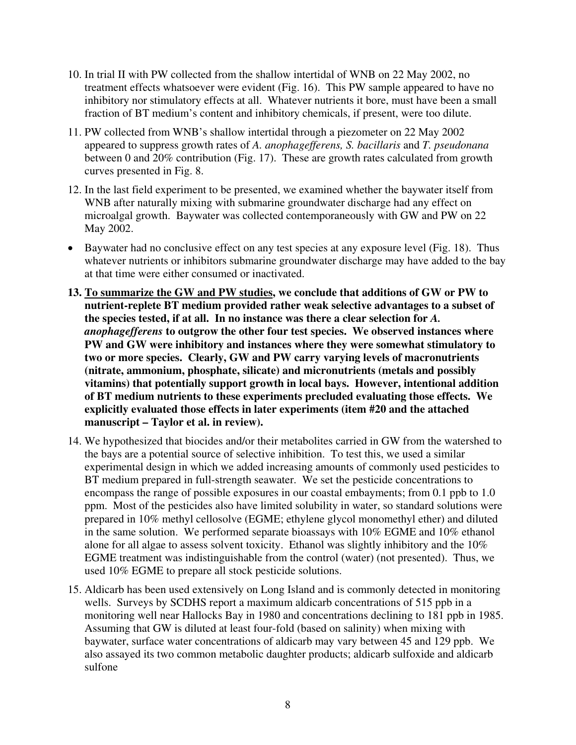- 10. In trial II with PW collected from the shallow intertidal of WNB on 22 May 2002, no treatment effects whatsoever were evident (Fig. 16). This PW sample appeared to have no inhibitory nor stimulatory effects at all. Whatever nutrients it bore, must have been a small fraction of BT medium's content and inhibitory chemicals, if present, were too dilute.
- 11. PW collected from WNB's shallow intertidal through a piezometer on 22 May 2002 appeared to suppress growth rates of *A. anophagefferens, S. bacillaris* and *T. pseudonana*  between 0 and 20% contribution (Fig. 17). These are growth rates calculated from growth curves presented in Fig. 8.
- 12. In the last field experiment to be presented, we examined whether the baywater itself from WNB after naturally mixing with submarine groundwater discharge had any effect on microalgal growth. Baywater was collected contemporaneously with GW and PW on 22 May 2002.
- Baywater had no conclusive effect on any test species at any exposure level (Fig. 18). Thus whatever nutrients or inhibitors submarine groundwater discharge may have added to the bay at that time were either consumed or inactivated.
- **13. To summarize the GW and PW studies, we conclude that additions of GW or PW to nutrient-replete BT medium provided rather weak selective advantages to a subset of the species tested, if at all. In no instance was there a clear selection for** *A. anophagefferens* **to outgrow the other four test species. We observed instances where PW and GW were inhibitory and instances where they were somewhat stimulatory to two or more species. Clearly, GW and PW carry varying levels of macronutrients (nitrate, ammonium, phosphate, silicate) and micronutrients (metals and possibly vitamins) that potentially support growth in local bays. However, intentional addition of BT medium nutrients to these experiments precluded evaluating those effects. We explicitly evaluated those effects in later experiments (item #20 and the attached manuscript – Taylor et al. in review).**
- 14. We hypothesized that biocides and/or their metabolites carried in GW from the watershed to the bays are a potential source of selective inhibition. To test this, we used a similar experimental design in which we added increasing amounts of commonly used pesticides to BT medium prepared in full-strength seawater. We set the pesticide concentrations to encompass the range of possible exposures in our coastal embayments; from 0.1 ppb to 1.0 ppm. Most of the pesticides also have limited solubility in water, so standard solutions were prepared in 10% methyl cellosolve (EGME; ethylene glycol monomethyl ether) and diluted in the same solution. We performed separate bioassays with 10% EGME and 10% ethanol alone for all algae to assess solvent toxicity. Ethanol was slightly inhibitory and the 10% EGME treatment was indistinguishable from the control (water) (not presented). Thus, we used 10% EGME to prepare all stock pesticide solutions.
- 15. Aldicarb has been used extensively on Long Island and is commonly detected in monitoring wells. Surveys by SCDHS report a maximum aldicarb concentrations of 515 ppb in a monitoring well near Hallocks Bay in 1980 and concentrations declining to 181 ppb in 1985. Assuming that GW is diluted at least four-fold (based on salinity) when mixing with baywater, surface water concentrations of aldicarb may vary between 45 and 129 ppb. We also assayed its two common metabolic daughter products; aldicarb sulfoxide and aldicarb sulfone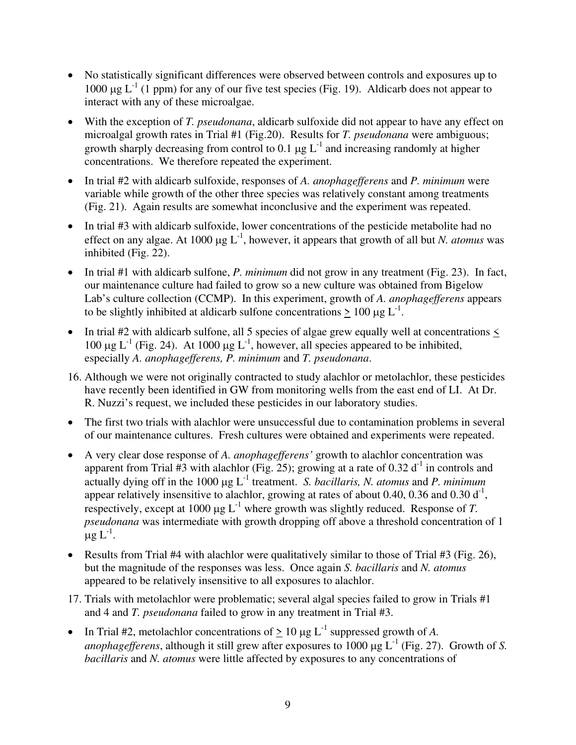- No statistically significant differences were observed between controls and exposures up to 1000  $\mu$ g L<sup>-1</sup> (1 ppm) for any of our five test species (Fig. 19). Aldicarb does not appear to interact with any of these microalgae.
- With the exception of *T. pseudonana*, aldicarb sulfoxide did not appear to have any effect on microalgal growth rates in Trial #1 (Fig.20). Results for *T. pseudonana* were ambiguous; growth sharply decreasing from control to 0.1  $\mu$ g L<sup>-1</sup> and increasing randomly at higher concentrations. We therefore repeated the experiment.
- In trial #2 with aldicarb sulfoxide, responses of *A. anophagefferens* and *P. minimum* were variable while growth of the other three species was relatively constant among treatments (Fig. 21). Again results are somewhat inconclusive and the experiment was repeated.
- In trial #3 with aldicarb sulfoxide, lower concentrations of the pesticide metabolite had no effect on any algae. At 1000  $\mu$ g L<sup>-1</sup>, however, it appears that growth of all but *N. atomus* was inhibited (Fig. 22).
- In trial #1 with aldicarb sulfone, *P. minimum* did not grow in any treatment (Fig. 23). In fact, our maintenance culture had failed to grow so a new culture was obtained from Bigelow Lab's culture collection (CCMP). In this experiment, growth of *A. anophagefferens* appears to be slightly inhibited at aldicarb sulfone concentrations  $\geq 100 \mu g L^{-1}$ .
- In trial #2 with aldicarb sulfone, all 5 species of algae grew equally well at concentrations  $\leq$ 100  $\mu$ g L<sup>-1</sup> (Fig. 24). At 1000  $\mu$ g L<sup>-1</sup>, however, all species appeared to be inhibited, especially *A. anophagefferens, P. minimum* and *T. pseudonana*.
- 16. Although we were not originally contracted to study alachlor or metolachlor, these pesticides have recently been identified in GW from monitoring wells from the east end of LI. At Dr. R. Nuzzi's request, we included these pesticides in our laboratory studies.
- The first two trials with alachlor were unsuccessful due to contamination problems in several of our maintenance cultures. Fresh cultures were obtained and experiments were repeated.
- A very clear dose response of *A. anophagefferens'* growth to alachlor concentration was apparent from Trial #3 with alachlor (Fig. 25); growing at a rate of 0.32  $d^{-1}$  in controls and actually dying off in the 1000 µg L-1 treatment. *S. bacillaris, N. atomus* and *P. minimum* appear relatively insensitive to alachlor, growing at rates of about 0.40, 0.36 and 0.30  $d^{-1}$ , respectively, except at 1000  $\mu$ g L<sup>-1</sup> where growth was slightly reduced. Response of *T*. *pseudonana* was intermediate with growth dropping off above a threshold concentration of 1  $\mu$ g L<sup>-1</sup>.
- Results from Trial #4 with alachlor were qualitatively similar to those of Trial #3 (Fig. 26), but the magnitude of the responses was less. Once again *S. bacillaris* and *N. atomus* appeared to be relatively insensitive to all exposures to alachlor.
- 17. Trials with metolachlor were problematic; several algal species failed to grow in Trials #1 and 4 and *T. pseudonana* failed to grow in any treatment in Trial #3.
- In Trial #2, metolachlor concentrations of  $> 10 \mu g L^{-1}$  suppressed growth of A. *anophagefferens*, although it still grew after exposures to 1000  $\mu$ g L<sup>-1</sup> (Fig. 27). Growth of *S*. *bacillaris* and *N. atomus* were little affected by exposures to any concentrations of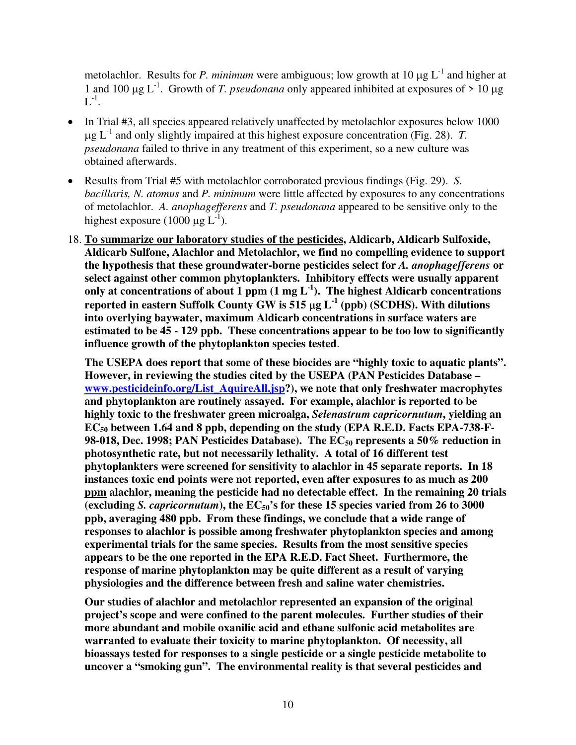metolachlor. Results for *P. minimum* were ambiguous; low growth at 10  $\mu$ g L<sup>-1</sup> and higher at 1 and 100  $\mu$ g L<sup>-1</sup>. Growth of *T. pseudonana* only appeared inhibited at exposures of  $> 10 \mu$ g  $L^{-1}$ .

- In Trial #3, all species appeared relatively unaffected by metolachlor exposures below 1000  $\mu$ g L<sup>-1</sup> and only slightly impaired at this highest exposure concentration (Fig. 28). *T*. *pseudonana* failed to thrive in any treatment of this experiment, so a new culture was obtained afterwards.
- Results from Trial #5 with metolachlor corroborated previous findings (Fig. 29). *S. bacillaris, N. atomus* and *P. minimum* were little affected by exposures to any concentrations of metolachlor. *A. anophagefferens* and *T. pseudonana* appeared to be sensitive only to the highest exposure (1000  $\mu$ g L<sup>-1</sup>).
- 18. **To summarize our laboratory studies of the pesticides, Aldicarb, Aldicarb Sulfoxide, Aldicarb Sulfone, Alachlor and Metolachlor, we find no compelling evidence to support the hypothesis that these groundwater-borne pesticides select for** *A. anophagefferens* **or select against other common phytoplankters. Inhibitory effects were usually apparent**  only at concentrations of about 1 ppm  $(1 \text{ mg } L^{-1})$ . The highest Aldicarb concentrations **reported in eastern Suffolk County GW is 515** µ**g L-1 (ppb) (SCDHS). With dilutions into overlying baywater, maximum Aldicarb concentrations in surface waters are estimated to be 45 - 129 ppb. These concentrations appear to be too low to significantly influence growth of the phytoplankton species tested**.

**The USEPA does report that some of these biocides are "highly toxic to aquatic plants". However, in reviewing the studies cited by the USEPA (PAN Pesticides Database – [www.pesticideinfo.org/List\\_AquireAll.jsp](http://www.pesticideinfo.org/List_AquireAll.jsp)?), we note that only freshwater macrophytes and phytoplankton are routinely assayed. For example, alachlor is reported to be highly toxic to the freshwater green microalga,** *Selenastrum capricornutum***, yielding an EC50 between 1.64 and 8 ppb, depending on the study (EPA R.E.D. Facts EPA-738-F-98-018, Dec. 1998; PAN Pesticides Database). The EC50 represents a 50% reduction in photosynthetic rate, but not necessarily lethality. A total of 16 different test phytoplankters were screened for sensitivity to alachlor in 45 separate reports. In 18 instances toxic end points were not reported, even after exposures to as much as 200 ppm alachlor, meaning the pesticide had no detectable effect. In the remaining 20 trials (excluding** *S. capricornutum***), the EC50's for these 15 species varied from 26 to 3000 ppb, averaging 480 ppb. From these findings, we conclude that a wide range of responses to alachlor is possible among freshwater phytoplankton species and among experimental trials for the same species. Results from the most sensitive species appears to be the one reported in the EPA R.E.D. Fact Sheet. Furthermore, the response of marine phytoplankton may be quite different as a result of varying physiologies and the difference between fresh and saline water chemistries.** 

**Our studies of alachlor and metolachlor represented an expansion of the original project's scope and were confined to the parent molecules. Further studies of their more abundant and mobile oxanilic acid and ethane sulfonic acid metabolites are warranted to evaluate their toxicity to marine phytoplankton. Of necessity, all bioassays tested for responses to a single pesticide or a single pesticide metabolite to uncover a "smoking gun". The environmental reality is that several pesticides and**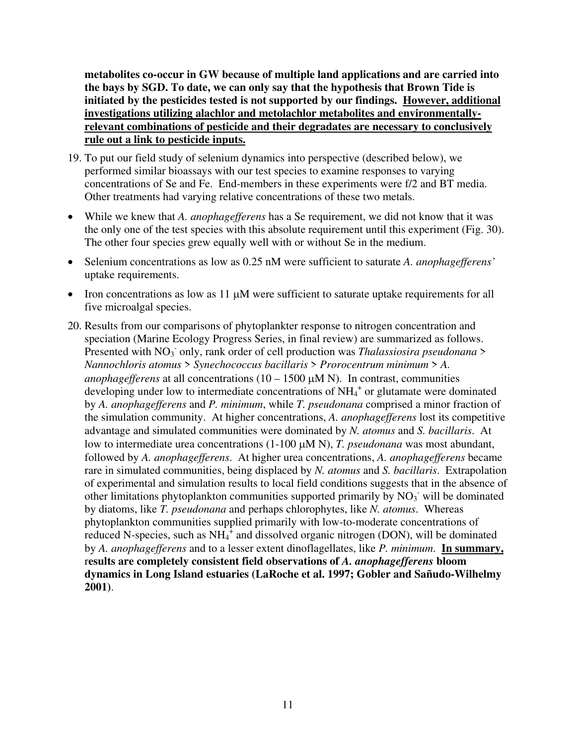**metabolites co-occur in GW because of multiple land applications and are carried into the bays by SGD. To date, we can only say that the hypothesis that Brown Tide is initiated by the pesticides tested is not supported by our findings. However, additional investigations utilizing alachlor and metolachlor metabolites and environmentallyrelevant combinations of pesticide and their degradates are necessary to conclusively rule out a link to pesticide inputs.**

- 19. To put our field study of selenium dynamics into perspective (described below), we performed similar bioassays with our test species to examine responses to varying concentrations of Se and Fe. End-members in these experiments were f/2 and BT media. Other treatments had varying relative concentrations of these two metals.
- While we knew that *A. anophagefferens* has a Se requirement, we did not know that it was the only one of the test species with this absolute requirement until this experiment (Fig. 30). The other four species grew equally well with or without Se in the medium.
- Selenium concentrations as low as 0.25 nM were sufficient to saturate *A. anophagefferens'* uptake requirements.
- Iron concentrations as low as 11  $\mu$ M were sufficient to saturate uptake requirements for all five microalgal species.
- 20. Results from our comparisons of phytoplankter response to nitrogen concentration and speciation (Marine Ecology Progress Series, in final review) are summarized as follows. Presented with NO<sub>3</sub> only, rank order of cell production was *Thalassiosira pseudonana* > *Nannochloris atomus* > *Synechococcus bacillaris* > *Prorocentrum minimum* > *A. anophagefferens* at all concentrations  $(10 - 1500 \mu M N)$ . In contrast, communities developing under low to intermediate concentrations of  $NH<sub>4</sub>$ <sup>+</sup> or glutamate were dominated by *A. anophagefferens* and *P. minimum*, while *T. pseudonana* comprised a minor fraction of the simulation community. At higher concentrations, *A. anophagefferens* lost its competitive advantage and simulated communities were dominated by *N. atomus* and *S. bacillaris*. At low to intermediate urea concentrations (1-100 µM N), *T. pseudonana* was most abundant, followed by *A. anophagefferens*. At higher urea concentrations, *A. anophagefferens* became rare in simulated communities, being displaced by *N. atomus* and *S. bacillaris*. Extrapolation of experimental and simulation results to local field conditions suggests that in the absence of other limitations phytoplankton communities supported primarily by  $NO<sub>3</sub>$  will be dominated by diatoms, like *T. pseudonana* and perhaps chlorophytes, like *N. atomus*. Whereas phytoplankton communities supplied primarily with low-to-moderate concentrations of reduced N-species, such as  $NH_4^4$  and dissolved organic nitrogen (DON), will be dominated by *A. anophagefferens* and to a lesser extent dinoflagellates, like *P. minimum*. **In summary,**  r**esults are completely consistent field observations of** *A. anophagefferens* **bloom dynamics in Long Island estuaries (LaRoche et al. 1997; Gobler and Sañudo-Wilhelmy 2001)**.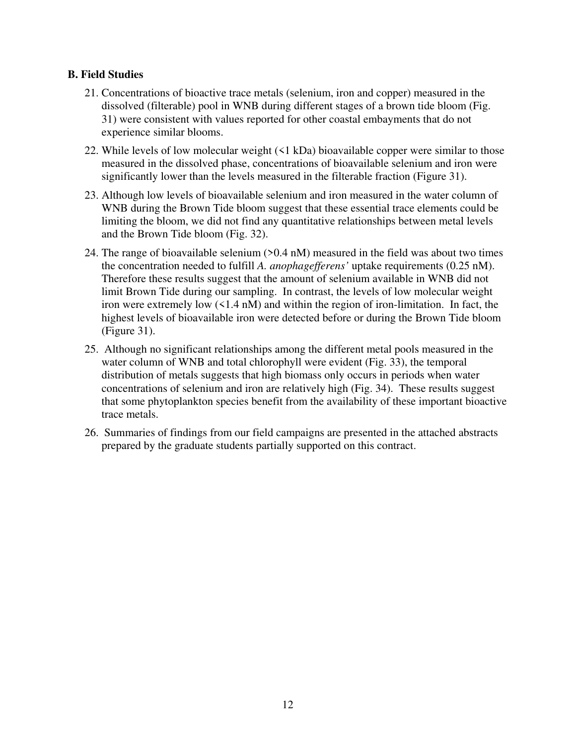### **B. Field Studies**

- 21. Concentrations of bioactive trace metals (selenium, iron and copper) measured in the dissolved (filterable) pool in WNB during different stages of a brown tide bloom (Fig. 31) were consistent with values reported for other coastal embayments that do not experience similar blooms.
- 22. While levels of low molecular weight (<1 kDa) bioavailable copper were similar to those measured in the dissolved phase, concentrations of bioavailable selenium and iron were significantly lower than the levels measured in the filterable fraction (Figure 31).
- 23. Although low levels of bioavailable selenium and iron measured in the water column of WNB during the Brown Tide bloom suggest that these essential trace elements could be limiting the bloom, we did not find any quantitative relationships between metal levels and the Brown Tide bloom (Fig. 32).
- 24. The range of bioavailable selenium (>0.4 nM) measured in the field was about two times the concentration needed to fulfill *A. anophagefferens'* uptake requirements (0.25 nM). Therefore these results suggest that the amount of selenium available in WNB did not limit Brown Tide during our sampling. In contrast, the levels of low molecular weight iron were extremely low (<1.4 nM) and within the region of iron-limitation. In fact, the highest levels of bioavailable iron were detected before or during the Brown Tide bloom (Figure 31).
- 25. Although no significant relationships among the different metal pools measured in the water column of WNB and total chlorophyll were evident (Fig. 33), the temporal distribution of metals suggests that high biomass only occurs in periods when water concentrations of selenium and iron are relatively high (Fig. 34). These results suggest that some phytoplankton species benefit from the availability of these important bioactive trace metals.
- 26. Summaries of findings from our field campaigns are presented in the attached abstracts prepared by the graduate students partially supported on this contract.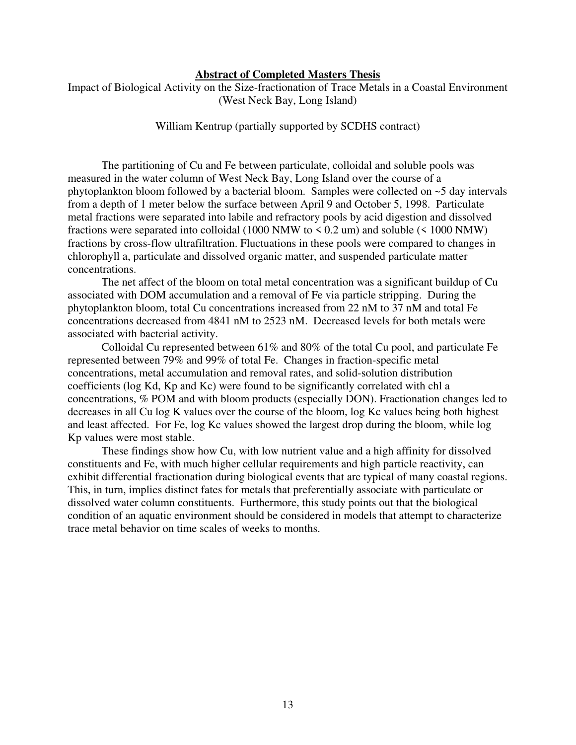#### **Abstract of Completed Masters Thesis**

Impact of Biological Activity on the Size-fractionation of Trace Metals in a Coastal Environment (West Neck Bay, Long Island)

William Kentrup (partially supported by SCDHS contract)

The partitioning of Cu and Fe between particulate, colloidal and soluble pools was measured in the water column of West Neck Bay, Long Island over the course of a phytoplankton bloom followed by a bacterial bloom. Samples were collected on ~5 day intervals from a depth of 1 meter below the surface between April 9 and October 5, 1998. Particulate metal fractions were separated into labile and refractory pools by acid digestion and dissolved fractions were separated into colloidal (1000 NMW to  $\leq$  0.2 um) and soluble ( $\leq$  1000 NMW) fractions by cross-flow ultrafiltration. Fluctuations in these pools were compared to changes in chlorophyll a, particulate and dissolved organic matter, and suspended particulate matter concentrations.

The net affect of the bloom on total metal concentration was a significant buildup of Cu associated with DOM accumulation and a removal of Fe via particle stripping. During the phytoplankton bloom, total Cu concentrations increased from 22 nM to 37 nM and total Fe concentrations decreased from 4841 nM to 2523 nM. Decreased levels for both metals were associated with bacterial activity.

Colloidal Cu represented between 61% and 80% of the total Cu pool, and particulate Fe represented between 79% and 99% of total Fe. Changes in fraction-specific metal concentrations, metal accumulation and removal rates, and solid-solution distribution coefficients (log Kd, Kp and Kc) were found to be significantly correlated with chl a concentrations, % POM and with bloom products (especially DON). Fractionation changes led to decreases in all Cu log K values over the course of the bloom, log Kc values being both highest and least affected. For Fe, log Kc values showed the largest drop during the bloom, while log Kp values were most stable.

These findings show how Cu, with low nutrient value and a high affinity for dissolved constituents and Fe, with much higher cellular requirements and high particle reactivity, can exhibit differential fractionation during biological events that are typical of many coastal regions. This, in turn, implies distinct fates for metals that preferentially associate with particulate or dissolved water column constituents. Furthermore, this study points out that the biological condition of an aquatic environment should be considered in models that attempt to characterize trace metal behavior on time scales of weeks to months.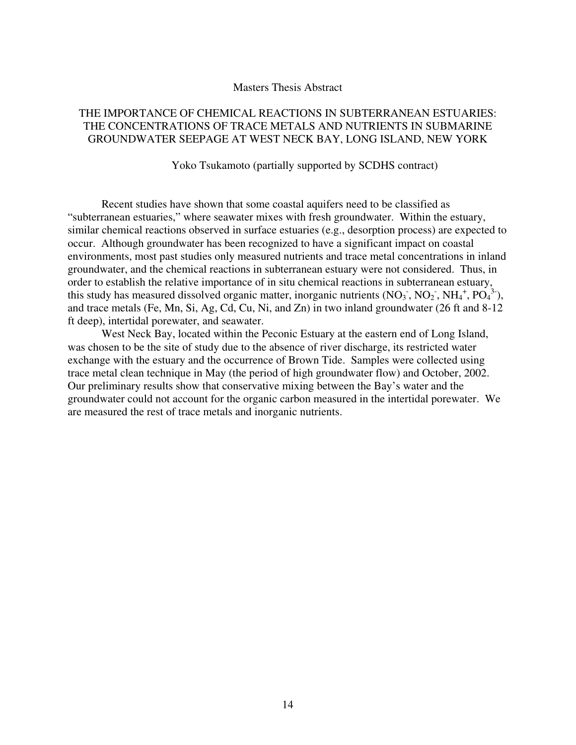#### Masters Thesis Abstract

#### THE IMPORTANCE OF CHEMICAL REACTIONS IN SUBTERRANEAN ESTUARIES: THE CONCENTRATIONS OF TRACE METALS AND NUTRIENTS IN SUBMARINE GROUNDWATER SEEPAGE AT WEST NECK BAY, LONG ISLAND, NEW YORK

#### Yoko Tsukamoto (partially supported by SCDHS contract)

 Recent studies have shown that some coastal aquifers need to be classified as "subterranean estuaries," where seawater mixes with fresh groundwater. Within the estuary, similar chemical reactions observed in surface estuaries (e.g., desorption process) are expected to occur. Although groundwater has been recognized to have a significant impact on coastal environments, most past studies only measured nutrients and trace metal concentrations in inland groundwater, and the chemical reactions in subterranean estuary were not considered. Thus, in order to establish the relative importance of in situ chemical reactions in subterranean estuary, this study has measured dissolved organic matter, inorganic nutrients  $(NO_3, NO_2, NH_4^+, PO_4^{3-})$ , and trace metals (Fe, Mn, Si, Ag, Cd, Cu, Ni, and Zn) in two inland groundwater (26 ft and 8-12 ft deep), intertidal porewater, and seawater.

West Neck Bay, located within the Peconic Estuary at the eastern end of Long Island, was chosen to be the site of study due to the absence of river discharge, its restricted water exchange with the estuary and the occurrence of Brown Tide. Samples were collected using trace metal clean technique in May (the period of high groundwater flow) and October, 2002. Our preliminary results show that conservative mixing between the Bay's water and the groundwater could not account for the organic carbon measured in the intertidal porewater. We are measured the rest of trace metals and inorganic nutrients.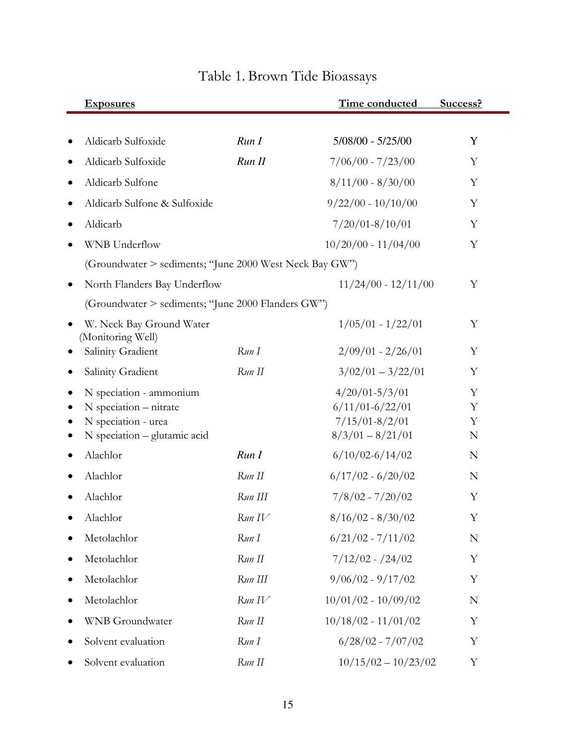|                                                                                                                                                                                                                                                                                                                                                                                                                                                                                                                                                                                                                                                                                                                                                                                                                                                                                                                                                                                                                                                                                                                                         | <b>Exposures</b>             |        | Time conducted        | Success?         |
|-----------------------------------------------------------------------------------------------------------------------------------------------------------------------------------------------------------------------------------------------------------------------------------------------------------------------------------------------------------------------------------------------------------------------------------------------------------------------------------------------------------------------------------------------------------------------------------------------------------------------------------------------------------------------------------------------------------------------------------------------------------------------------------------------------------------------------------------------------------------------------------------------------------------------------------------------------------------------------------------------------------------------------------------------------------------------------------------------------------------------------------------|------------------------------|--------|-----------------------|------------------|
|                                                                                                                                                                                                                                                                                                                                                                                                                                                                                                                                                                                                                                                                                                                                                                                                                                                                                                                                                                                                                                                                                                                                         |                              |        |                       |                  |
|                                                                                                                                                                                                                                                                                                                                                                                                                                                                                                                                                                                                                                                                                                                                                                                                                                                                                                                                                                                                                                                                                                                                         |                              |        |                       | Y                |
|                                                                                                                                                                                                                                                                                                                                                                                                                                                                                                                                                                                                                                                                                                                                                                                                                                                                                                                                                                                                                                                                                                                                         | Aldicarb Sulfoxide           | Run II | $7/06/00 - 7/23/00$   | Y                |
|                                                                                                                                                                                                                                                                                                                                                                                                                                                                                                                                                                                                                                                                                                                                                                                                                                                                                                                                                                                                                                                                                                                                         | Aldicarb Sulfone             |        | $8/11/00 - 8/30/00$   | Y                |
|                                                                                                                                                                                                                                                                                                                                                                                                                                                                                                                                                                                                                                                                                                                                                                                                                                                                                                                                                                                                                                                                                                                                         | Aldicarb Sulfone & Sulfoxide |        | $9/22/00 - 10/10/00$  | Y                |
|                                                                                                                                                                                                                                                                                                                                                                                                                                                                                                                                                                                                                                                                                                                                                                                                                                                                                                                                                                                                                                                                                                                                         | Aldicarb                     |        | $7/20/01 - 8/10/01$   | Y                |
|                                                                                                                                                                                                                                                                                                                                                                                                                                                                                                                                                                                                                                                                                                                                                                                                                                                                                                                                                                                                                                                                                                                                         | <b>WNB</b> Underflow         |        | $10/20/00 - 11/04/00$ | Y                |
|                                                                                                                                                                                                                                                                                                                                                                                                                                                                                                                                                                                                                                                                                                                                                                                                                                                                                                                                                                                                                                                                                                                                         |                              |        |                       |                  |
|                                                                                                                                                                                                                                                                                                                                                                                                                                                                                                                                                                                                                                                                                                                                                                                                                                                                                                                                                                                                                                                                                                                                         | North Flanders Bay Underflow |        | $11/24/00 - 12/11/00$ | Y                |
| Aldicarb Sulfoxide<br>Run I<br>$5/08/00 - 5/25/00$<br>(Groundwater > sediments; "June 2000 West Neck Bay GW")<br>(Groundwater > sediments; "June 2000 Flanders GW")<br>$1/05/01 - 1/22/01$<br>W. Neck Bay Ground Water<br>(Monitoring Well)<br>Salinity Gradient<br>$2/09/01 - 2/26/01$<br>Run I<br>$3/02/01 - 3/22/01$<br>Salinity Gradient<br>Run II<br>$4/20/01 - 5/3/01$<br>N speciation - ammonium<br>$6/11/01 - 6/22/01$<br>N speciation - nitrate<br>$7/15/01 - 8/2/01$<br>N speciation - urea<br>$8/3/01 - 8/21/01$<br>N speciation - glutamic acid<br>Alachlor<br>$6/10/02 - 6/14/02$<br>Run I<br>Alachlor<br>$6/17/02 - 6/20/02$<br>Run II<br>$7/8/02 - 7/20/02$<br>Run III<br>Alachlor<br>$8/16/02 - 8/30/02$<br>Alachlor<br>Run IV<br>$6/21/02 - 7/11/02$<br>Metolachlor<br>Run I<br>Run II<br>$7/12/02 - 24/02$<br>Metolachlor<br>$\bullet$<br>$9/06/02 - 9/17/02$<br>Metolachlor<br>Run III<br>$10/01/02 - 10/09/02$<br>Metolachlor<br>Run IV<br>$10/18/02 - 11/01/02$<br>Run II<br><b>WNB</b> Groundwater<br>Run I<br>$6/28/02 - 7/07/02$<br>Solvent evaluation<br>$10/15/02 - 10/23/02$<br>Run II<br>Solvent evaluation |                              |        |                       |                  |
|                                                                                                                                                                                                                                                                                                                                                                                                                                                                                                                                                                                                                                                                                                                                                                                                                                                                                                                                                                                                                                                                                                                                         |                              |        |                       | Y                |
|                                                                                                                                                                                                                                                                                                                                                                                                                                                                                                                                                                                                                                                                                                                                                                                                                                                                                                                                                                                                                                                                                                                                         |                              |        |                       | Y                |
|                                                                                                                                                                                                                                                                                                                                                                                                                                                                                                                                                                                                                                                                                                                                                                                                                                                                                                                                                                                                                                                                                                                                         |                              |        |                       | Y                |
|                                                                                                                                                                                                                                                                                                                                                                                                                                                                                                                                                                                                                                                                                                                                                                                                                                                                                                                                                                                                                                                                                                                                         |                              |        |                       | Y<br>Y<br>Y<br>N |
|                                                                                                                                                                                                                                                                                                                                                                                                                                                                                                                                                                                                                                                                                                                                                                                                                                                                                                                                                                                                                                                                                                                                         |                              |        |                       | N                |
|                                                                                                                                                                                                                                                                                                                                                                                                                                                                                                                                                                                                                                                                                                                                                                                                                                                                                                                                                                                                                                                                                                                                         |                              |        |                       | N                |
|                                                                                                                                                                                                                                                                                                                                                                                                                                                                                                                                                                                                                                                                                                                                                                                                                                                                                                                                                                                                                                                                                                                                         |                              |        |                       | Y                |
|                                                                                                                                                                                                                                                                                                                                                                                                                                                                                                                                                                                                                                                                                                                                                                                                                                                                                                                                                                                                                                                                                                                                         |                              |        |                       | Y                |
|                                                                                                                                                                                                                                                                                                                                                                                                                                                                                                                                                                                                                                                                                                                                                                                                                                                                                                                                                                                                                                                                                                                                         |                              |        |                       | $\mathbb N$      |
|                                                                                                                                                                                                                                                                                                                                                                                                                                                                                                                                                                                                                                                                                                                                                                                                                                                                                                                                                                                                                                                                                                                                         |                              |        |                       | Y                |
|                                                                                                                                                                                                                                                                                                                                                                                                                                                                                                                                                                                                                                                                                                                                                                                                                                                                                                                                                                                                                                                                                                                                         |                              |        |                       | Y                |
|                                                                                                                                                                                                                                                                                                                                                                                                                                                                                                                                                                                                                                                                                                                                                                                                                                                                                                                                                                                                                                                                                                                                         |                              |        |                       | N                |
|                                                                                                                                                                                                                                                                                                                                                                                                                                                                                                                                                                                                                                                                                                                                                                                                                                                                                                                                                                                                                                                                                                                                         |                              |        |                       | Y                |
|                                                                                                                                                                                                                                                                                                                                                                                                                                                                                                                                                                                                                                                                                                                                                                                                                                                                                                                                                                                                                                                                                                                                         |                              |        |                       | Y                |
|                                                                                                                                                                                                                                                                                                                                                                                                                                                                                                                                                                                                                                                                                                                                                                                                                                                                                                                                                                                                                                                                                                                                         |                              |        |                       | Y                |

# Table 1. Brown Tide Bioassays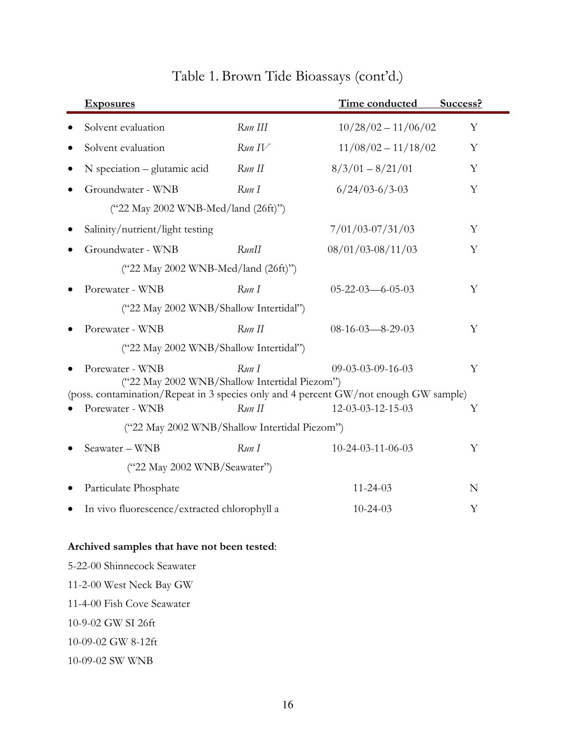| <b>Exposures</b>                                                                                                                      |         | Time conducted                | Success? |
|---------------------------------------------------------------------------------------------------------------------------------------|---------|-------------------------------|----------|
| Solvent evaluation                                                                                                                    | Run III | $10/28/02 - 11/06/02$         | Y        |
| Solvent evaluation                                                                                                                    | Run IV  | $11/08/02 - 11/18/02$         | Y        |
| N speciation – glutamic acid                                                                                                          | Run II  | $8/3/01 - 8/21/01$            | Y        |
| Groundwater - WNB                                                                                                                     | Run I   | $6/24/03 - 6/3 - 03$          | Y        |
| ("22 May 2002 WNB-Med/land (26ft)")                                                                                                   |         |                               |          |
| Salinity/nutrient/light testing                                                                                                       |         | $7/01/03 - 07/31/03$          | Υ        |
| Groundwater - WNB                                                                                                                     | RunII   | $08/01/03 - 08/11/03$         | Y        |
| ("22 May 2002 WNB-Med/land (26ft)")                                                                                                   |         |                               |          |
| Porewater - WNB                                                                                                                       | Run I   | $05 - 22 - 03 - 6 - 05 - 03$  | Y        |
| ("22 May 2002 WNB/Shallow Intertidal")                                                                                                |         |                               |          |
| Porewater - WNB                                                                                                                       | Run II  | $08-16-03-8-29-03$            | Υ        |
| ("22 May 2002 WNB/Shallow Intertidal")                                                                                                |         |                               |          |
| Porewater - WNB                                                                                                                       | RunI    | $09 - 03 - 03 - 09 - 16 - 03$ | Y        |
| ("22 May 2002 WNB/Shallow Intertidal Piezom")<br>(poss. contamination/Repeat in 3 species only and 4 percent GW/not enough GW sample) |         |                               |          |
| Porewater - WNB                                                                                                                       | Run II  | 12-03-03-12-15-03             | Υ        |
| ("22 May 2002 WNB/Shallow Intertidal Piezom")                                                                                         |         |                               |          |
| Seawater - WNB                                                                                                                        | Run I   | 10-24-03-11-06-03             | Υ        |
| ("22 May 2002 WNB/Seawater")                                                                                                          |         |                               |          |
| Particulate Phosphate                                                                                                                 |         | $11 - 24 - 03$                | N        |
| In vivo fluorescence/extracted chlorophyll a                                                                                          |         | $10 - 24 - 03$                | Y        |
|                                                                                                                                       |         |                               |          |
| Archived samples that have not been tested:                                                                                           |         |                               |          |
| 5-22-00 Shinnecock Seawater                                                                                                           |         |                               |          |
| 11-2-00 West Neck Bay GW                                                                                                              |         |                               |          |

# Table 1. Brown Tide Bioassays (cont'd.)

11-4-00 Fish Cove Seawater

10-9-02 GW SI 26ft

10-09-02 GW 8-12ft

10-09-02 SW WNB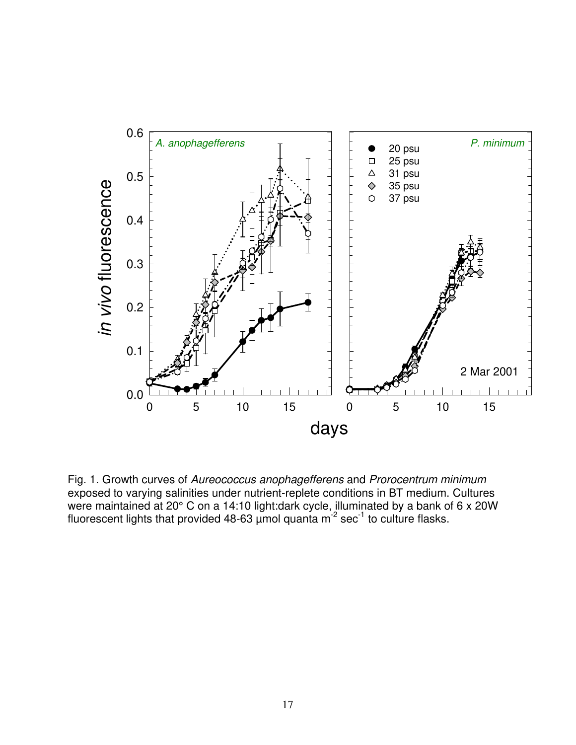

Fig. 1. Growth curves of Aureococcus anophagefferens and Prorocentrum minimum exposed to varying salinities under nutrient-replete conditions in BT medium. Cultures were maintained at 20° C on a 14:10 light:dark cycle, illuminated by a bank of 6 x 20W fluorescent lights that provided 48-63  $\mu$ mol quanta m<sup>-2</sup> sec<sup>-1</sup> to culture flasks.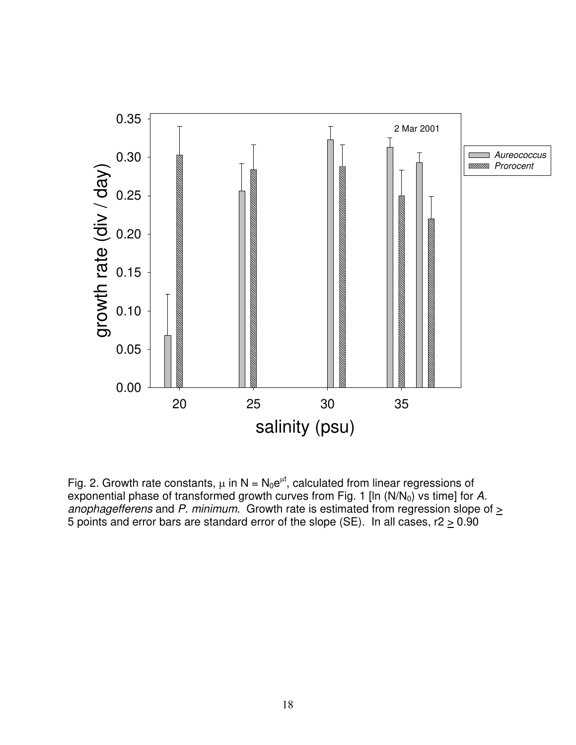

Fig. 2. Growth rate constants,  $\mu$  in N = N<sub>0</sub>e<sup> $\mu$ </sup>, calculated from linear regressions of exponential phase of transformed growth curves from Fig. 1 [In  $(N/N_0)$  vs time] for A. anophagefferens and P. minimum. Growth rate is estimated from regression slope of  $\geq$ 5 points and error bars are standard error of the slope (SE). In all cases,  $r^2 \ge 0.90$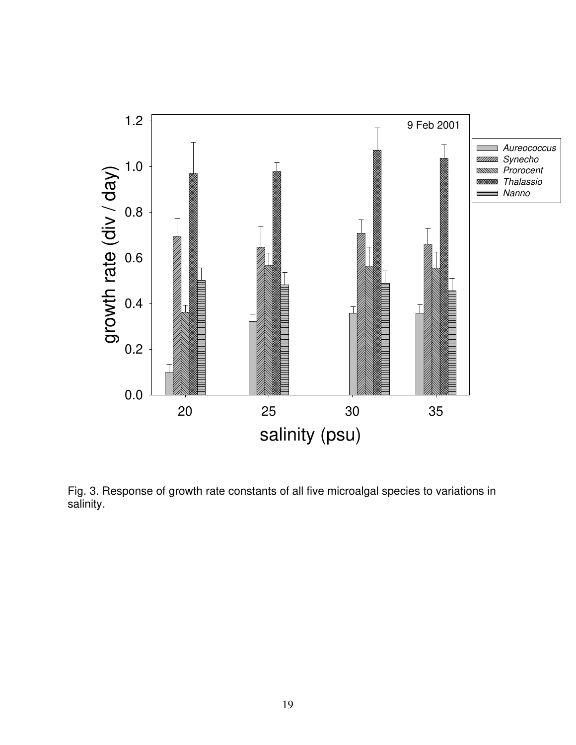

Fig. 3. Response of growth rate constants of all five microalgal species to variations in salinity.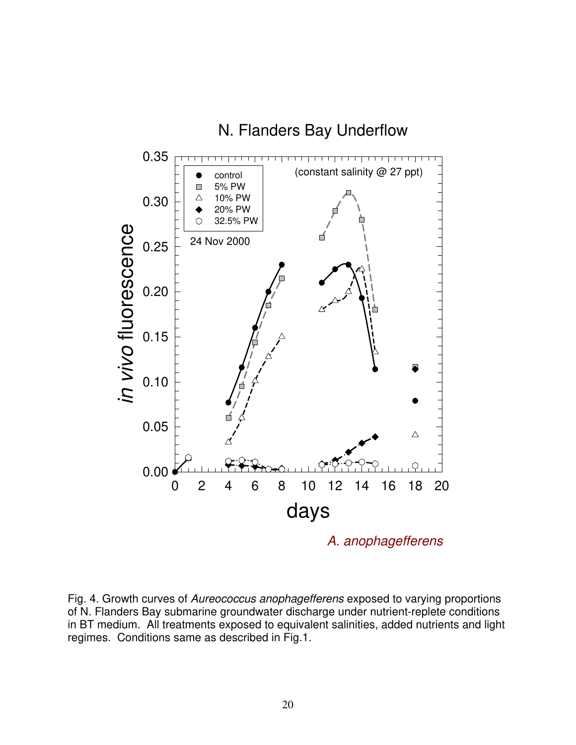

Fig. 4. Growth curves of Aureococcus anophagefferens exposed to varying proportions of N. Flanders Bay submarine groundwater discharge under nutrient-replete conditions in BT medium. All treatments exposed to equivalent salinities, added nutrients and light regimes. Conditions same as described in Fig.1.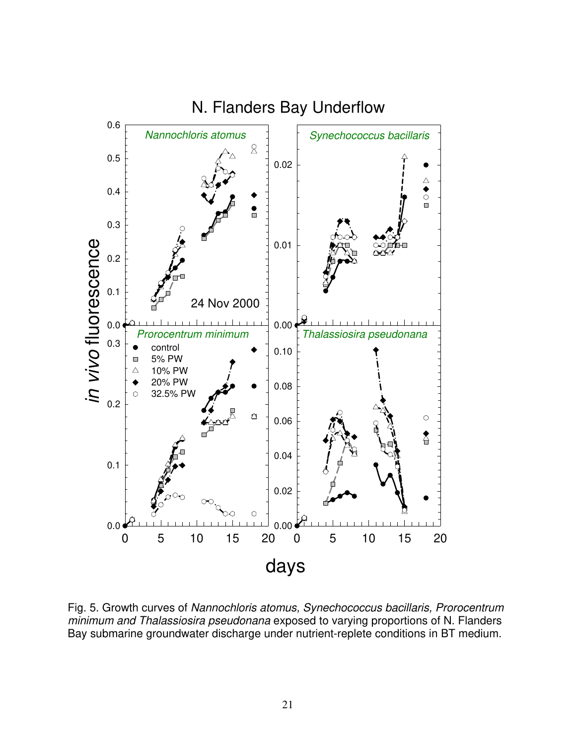

Fig. 5. Growth curves of Nannochloris atomus, Synechococcus bacillaris, Prorocentrum minimum and Thalassiosira pseudonana exposed to varying proportions of N. Flanders Bay submarine groundwater discharge under nutrient-replete conditions in BT medium.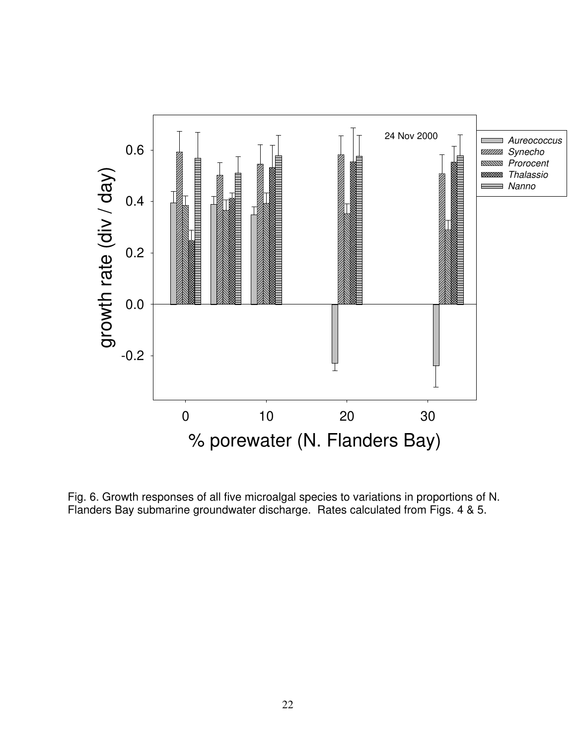

Fig. 6. Growth responses of all five microalgal species to variations in proportions of N. Flanders Bay submarine groundwater discharge. Rates calculated from Figs. 4 & 5.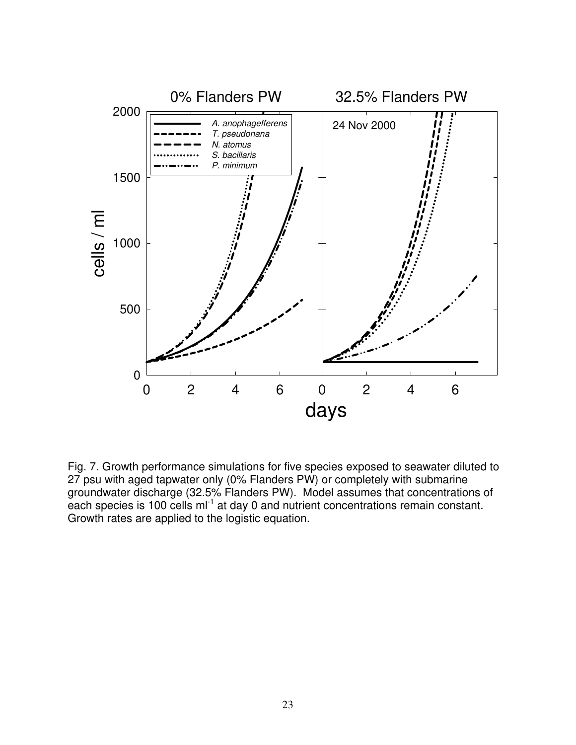

Fig. 7. Growth performance simulations for five species exposed to seawater diluted to 27 psu with aged tapwater only (0% Flanders PW) or completely with submarine groundwater discharge (32.5% Flanders PW). Model assumes that concentrations of each species is 100 cells ml<sup>-1</sup> at day 0 and nutrient concentrations remain constant. Growth rates are applied to the logistic equation.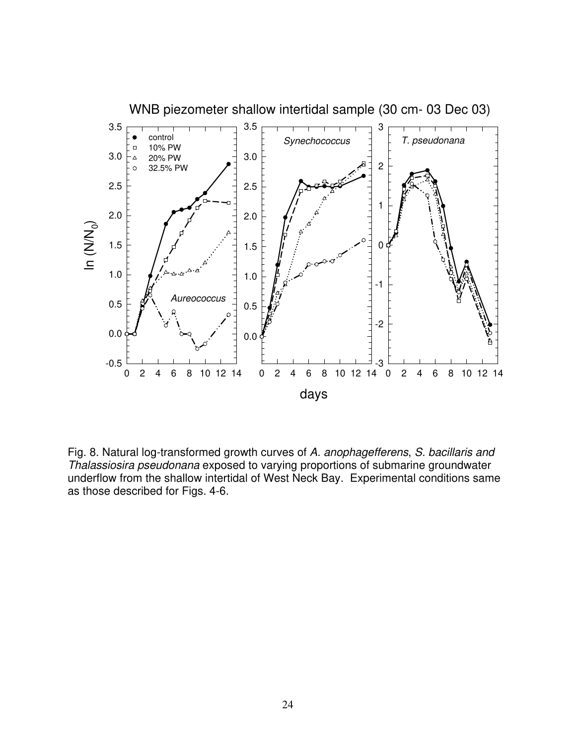

Fig. 8. Natural log-transformed growth curves of A. anophagefferens, S. bacillaris and Thalassiosira pseudonana exposed to varying proportions of submarine groundwater underflow from the shallow intertidal of West Neck Bay. Experimental conditions same as those described for Figs. 4-6.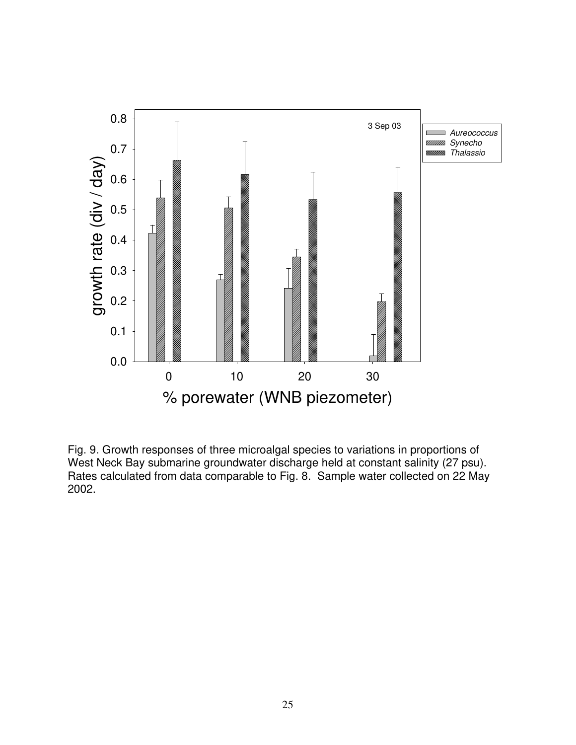

Fig. 9. Growth responses of three microalgal species to variations in proportions of West Neck Bay submarine groundwater discharge held at constant salinity (27 psu). Rates calculated from data comparable to Fig. 8. Sample water collected on 22 May 2002.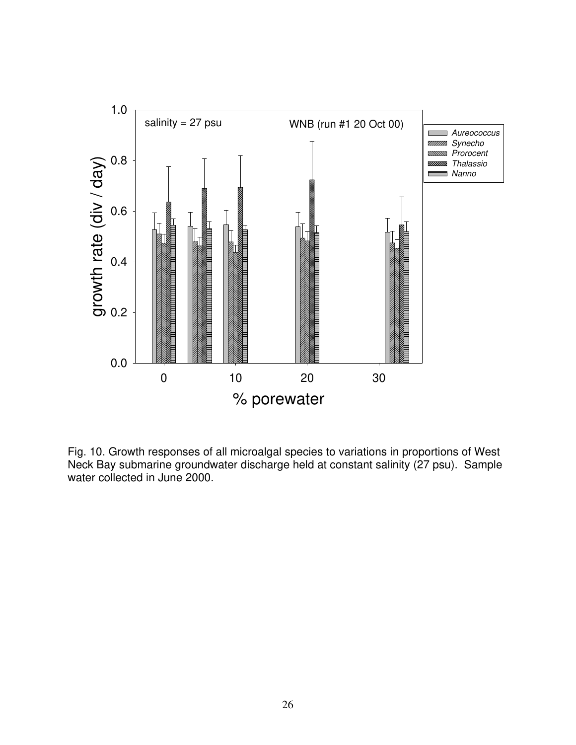

Fig. 10. Growth responses of all microalgal species to variations in proportions of West Neck Bay submarine groundwater discharge held at constant salinity (27 psu). Sample water collected in June 2000.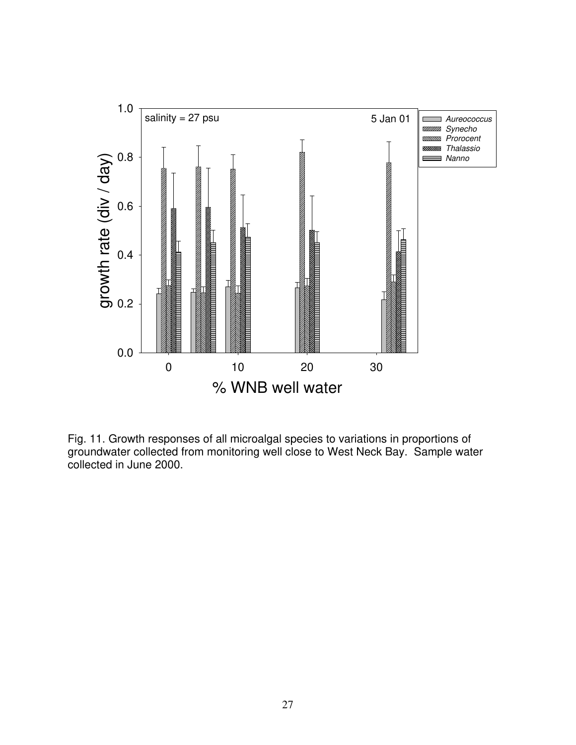

Fig. 11. Growth responses of all microalgal species to variations in proportions of groundwater collected from monitoring well close to West Neck Bay. Sample water collected in June 2000.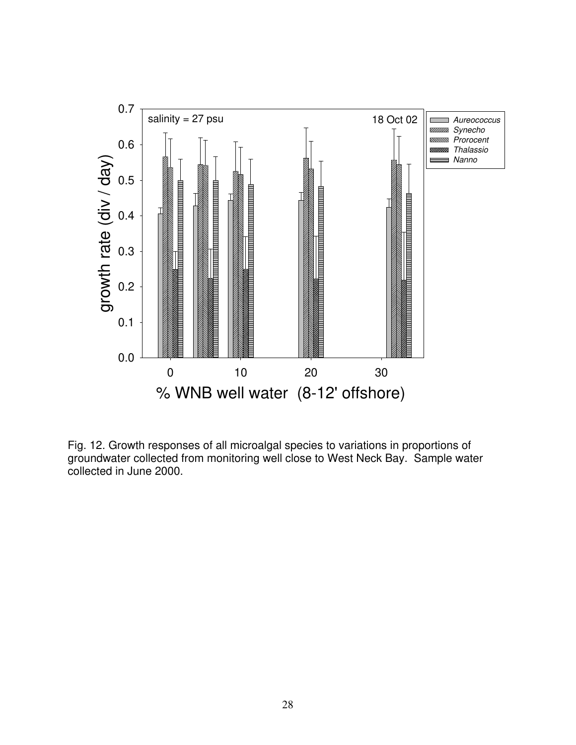

Fig. 12. Growth responses of all microalgal species to variations in proportions of groundwater collected from monitoring well close to West Neck Bay. Sample water collected in June 2000.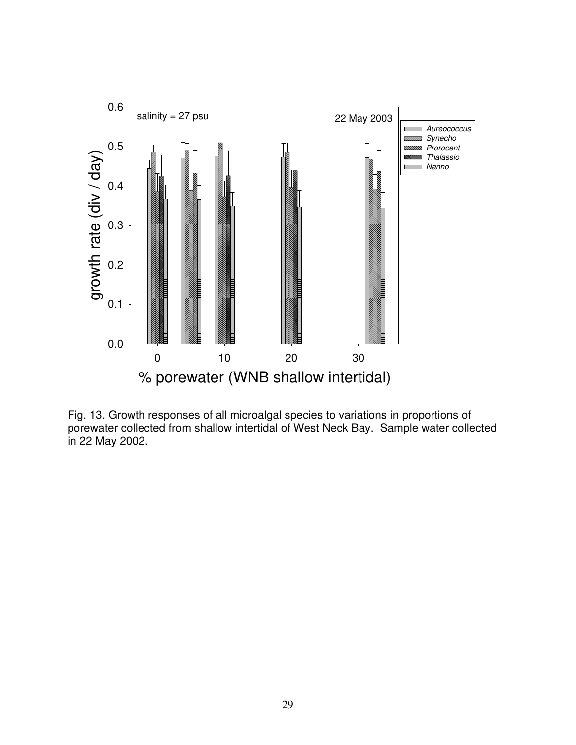

Fig. 13. Growth responses of all microalgal species to variations in proportions of porewater collected from shallow intertidal of West Neck Bay. Sample water collected in 22 May 2002.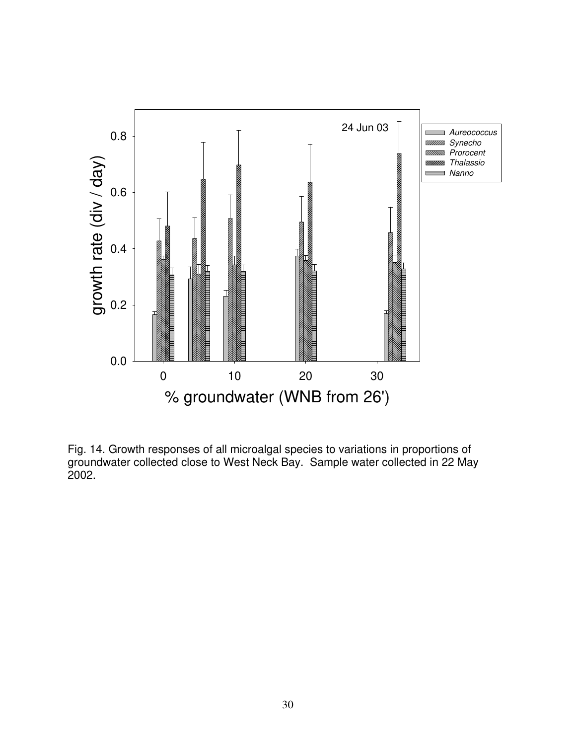

Fig. 14. Growth responses of all microalgal species to variations in proportions of groundwater collected close to West Neck Bay. Sample water collected in 22 May 2002.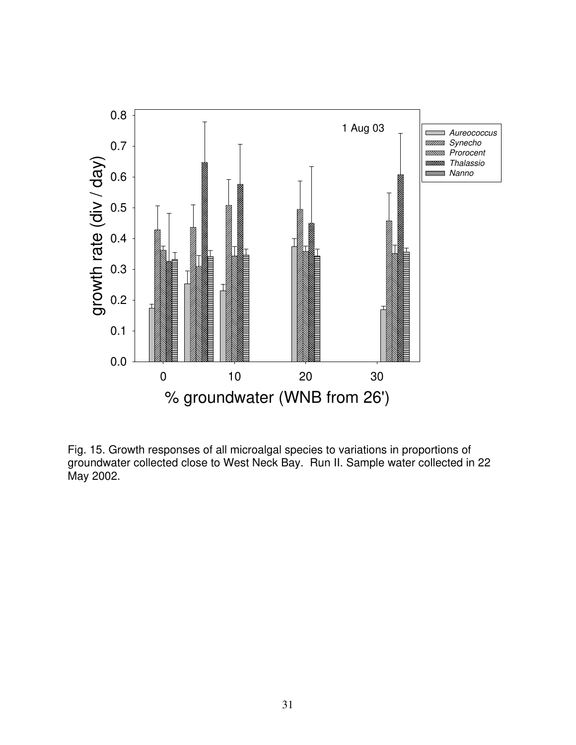

Fig. 15. Growth responses of all microalgal species to variations in proportions of groundwater collected close to West Neck Bay. Run II. Sample water collected in 22 May 2002.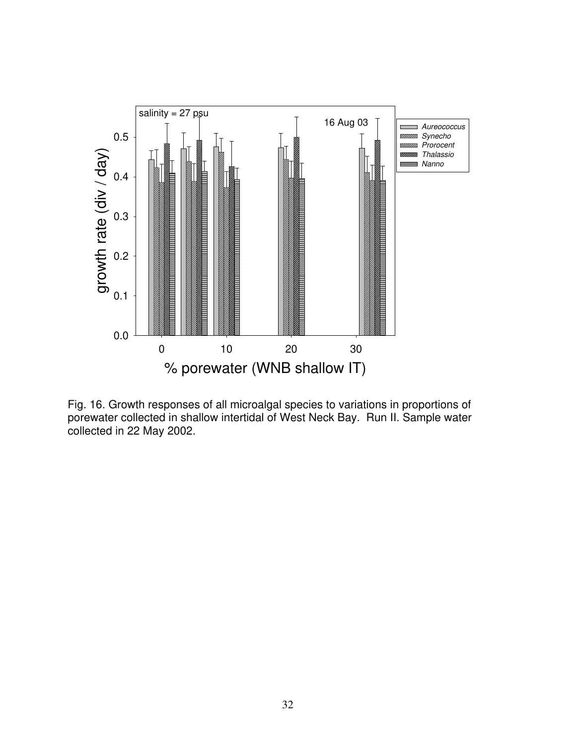

Fig. 16. Growth responses of all microalgal species to variations in proportions of porewater collected in shallow intertidal of West Neck Bay. Run II. Sample water collected in 22 May 2002.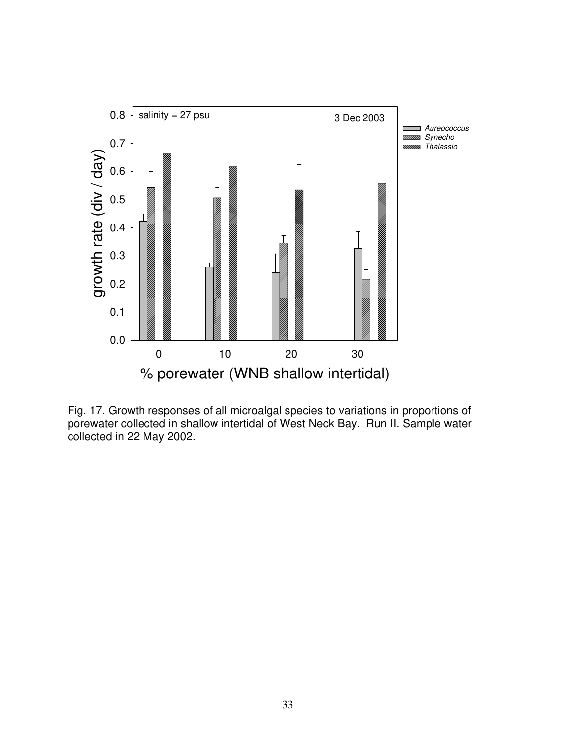

Fig. 17. Growth responses of all microalgal species to variations in proportions of porewater collected in shallow intertidal of West Neck Bay. Run II. Sample water collected in 22 May 2002.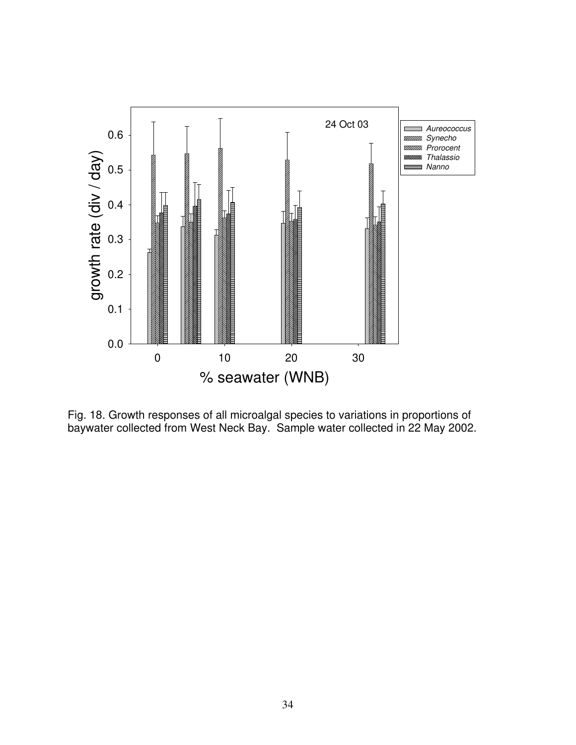

Fig. 18. Growth responses of all microalgal species to variations in proportions of baywater collected from West Neck Bay. Sample water collected in 22 May 2002.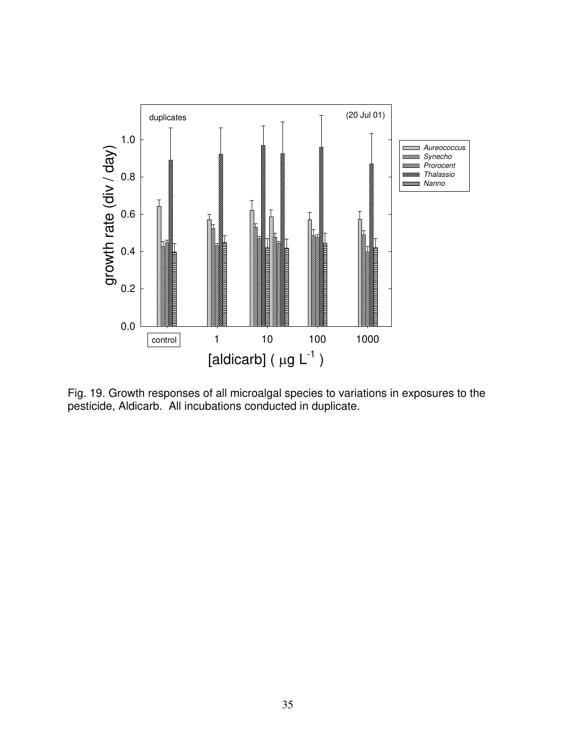

Fig. 19. Growth responses of all microalgal species to variations in exposures to the pesticide, Aldicarb. All incubations conducted in duplicate.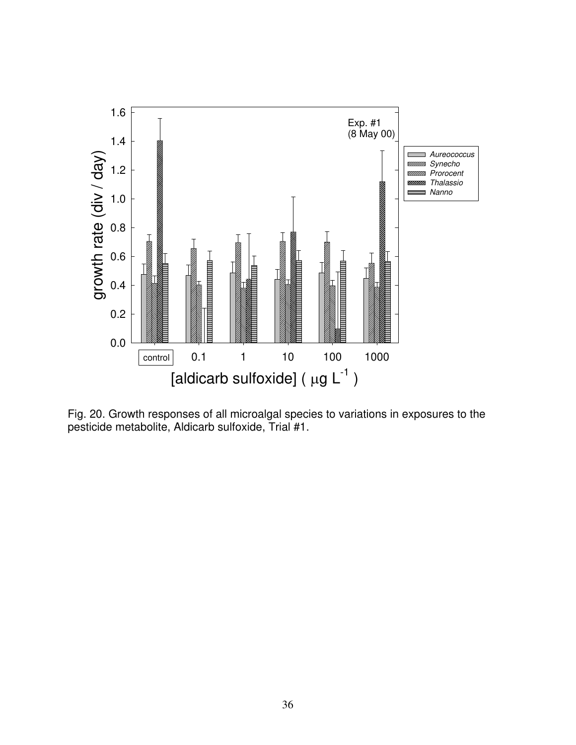

Fig. 20. Growth responses of all microalgal species to variations in exposures to the pesticide metabolite, Aldicarb sulfoxide, Trial #1.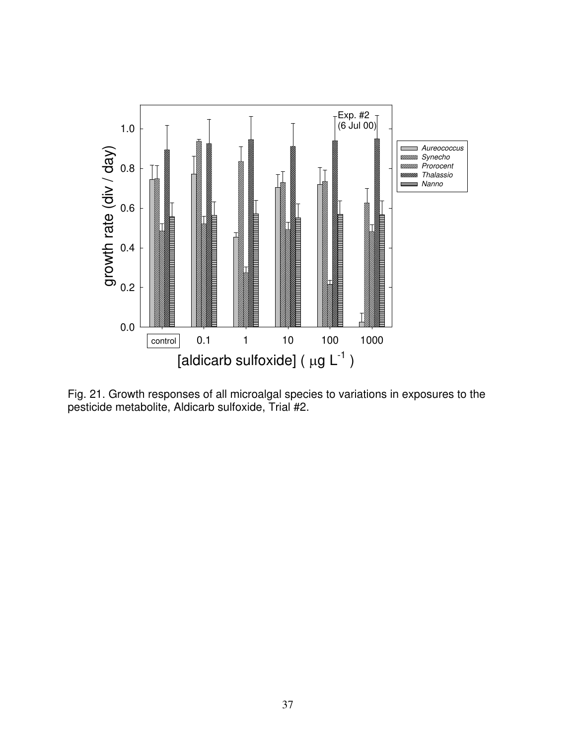

Fig. 21. Growth responses of all microalgal species to variations in exposures to the pesticide metabolite, Aldicarb sulfoxide, Trial #2.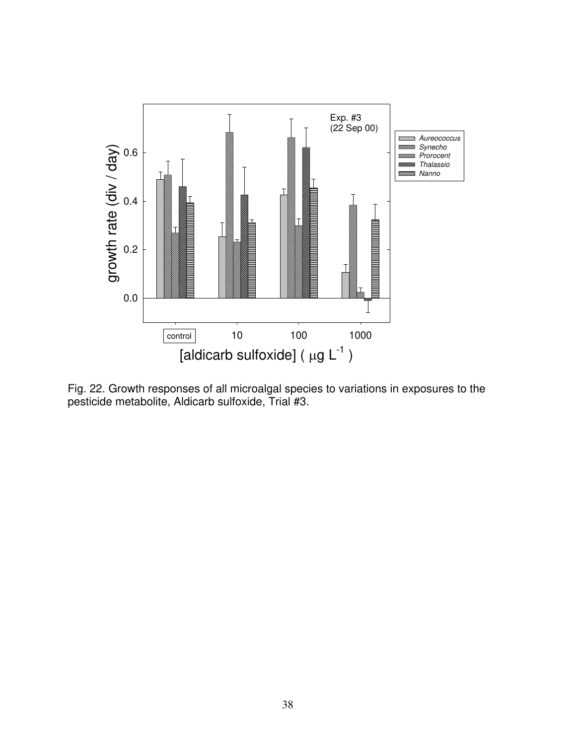

Fig. 22. Growth responses of all microalgal species to variations in exposures to the pesticide metabolite, Aldicarb sulfoxide, Trial #3.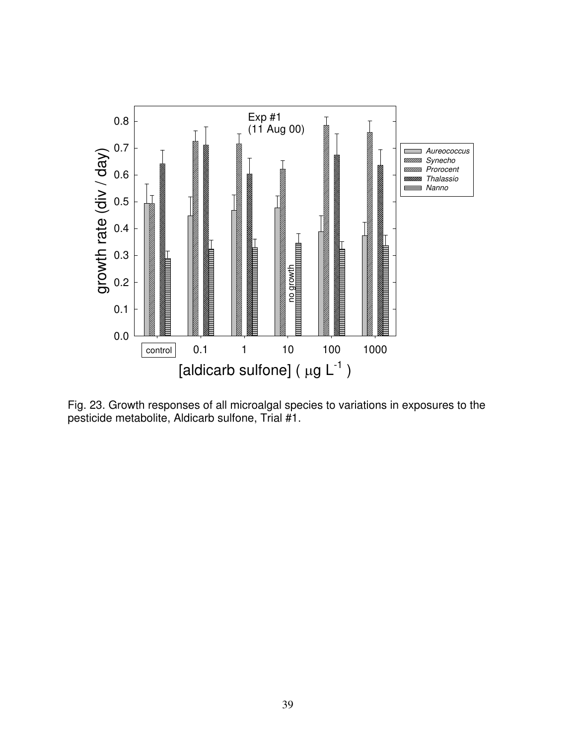

Fig. 23. Growth responses of all microalgal species to variations in exposures to the pesticide metabolite, Aldicarb sulfone, Trial #1.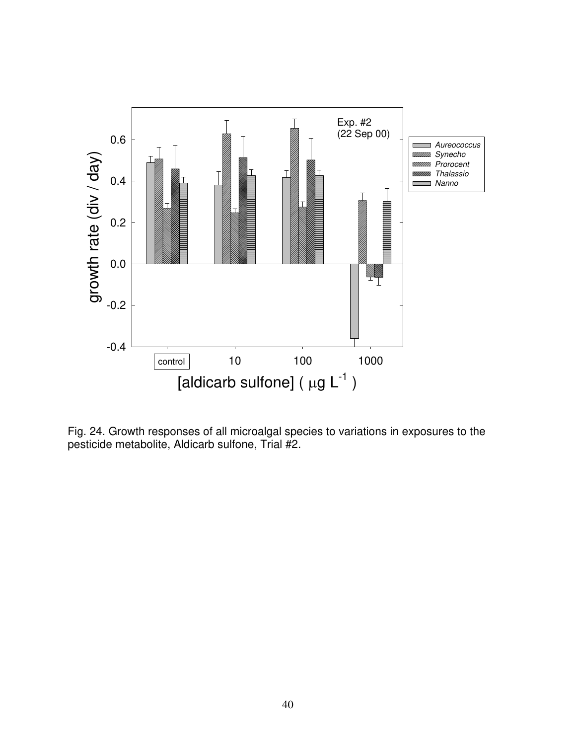

Fig. 24. Growth responses of all microalgal species to variations in exposures to the pesticide metabolite, Aldicarb sulfone, Trial #2.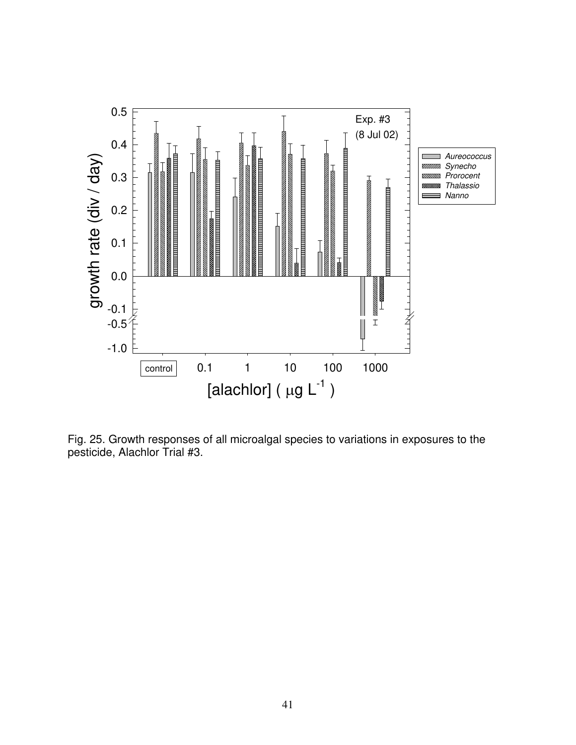

Fig. 25. Growth responses of all microalgal species to variations in exposures to the pesticide, Alachlor Trial #3.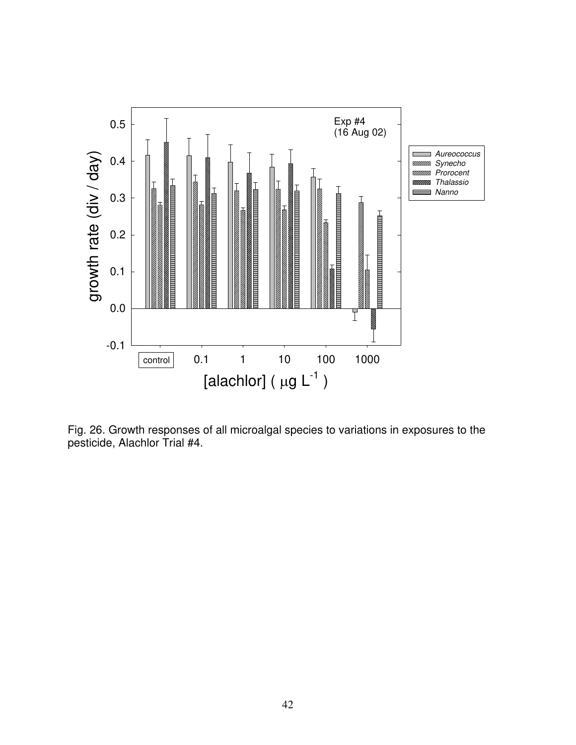

Fig. 26. Growth responses of all microalgal species to variations in exposures to the pesticide, Alachlor Trial #4.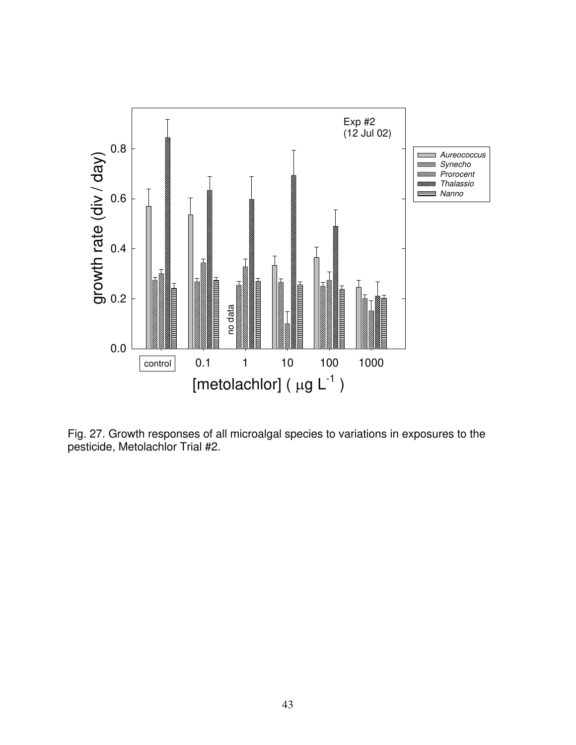

Fig. 27. Growth responses of all microalgal species to variations in exposures to the pesticide, Metolachlor Trial #2.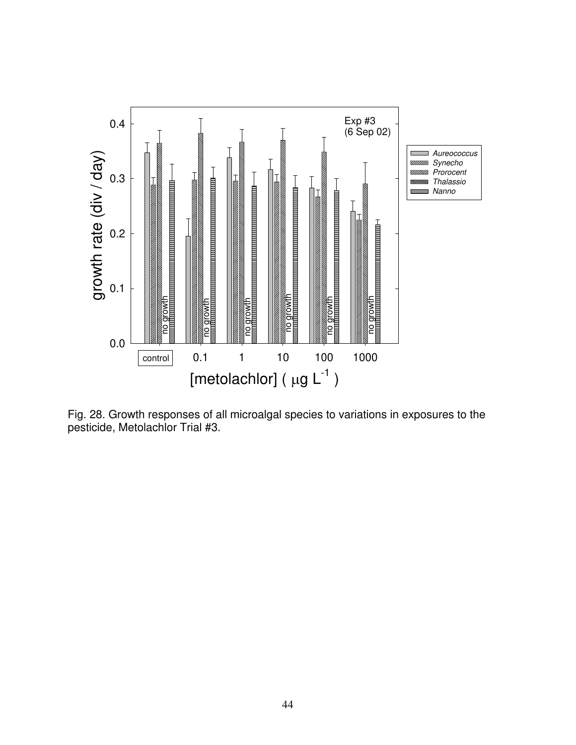

Fig. 28. Growth responses of all microalgal species to variations in exposures to the pesticide, Metolachlor Trial #3.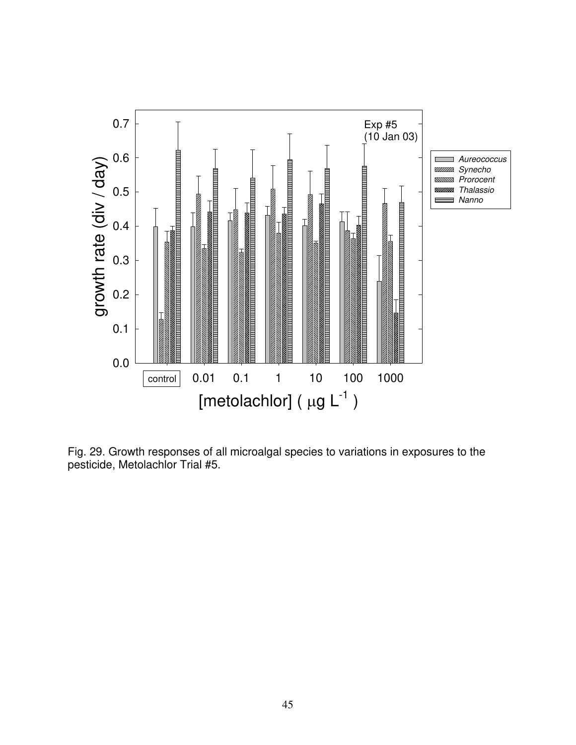

Fig. 29. Growth responses of all microalgal species to variations in exposures to the pesticide, Metolachlor Trial #5.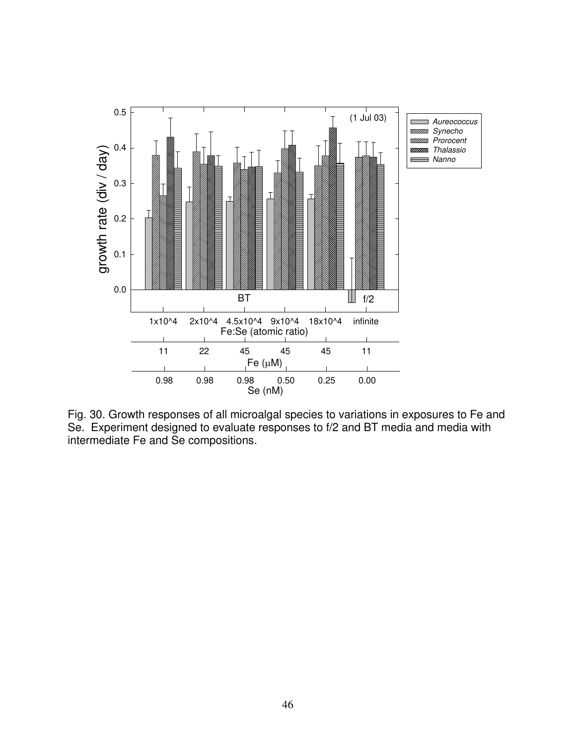

Fig. 30. Growth responses of all microalgal species to variations in exposures to Fe and Se. Experiment designed to evaluate responses to f/2 and BT media and media with intermediate Fe and Se compositions.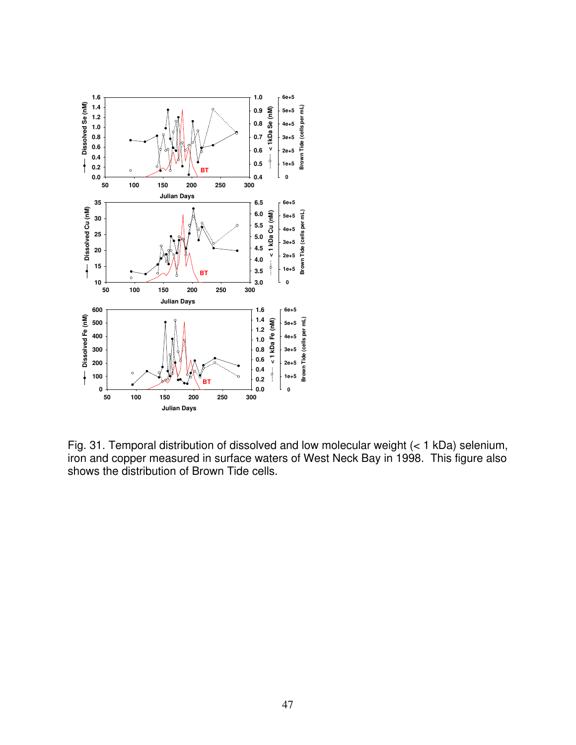

Fig. 31. Temporal distribution of dissolved and low molecular weight (< 1 kDa) selenium, iron and copper measured in surface waters of West Neck Bay in 1998. This figure also shows the distribution of Brown Tide cells.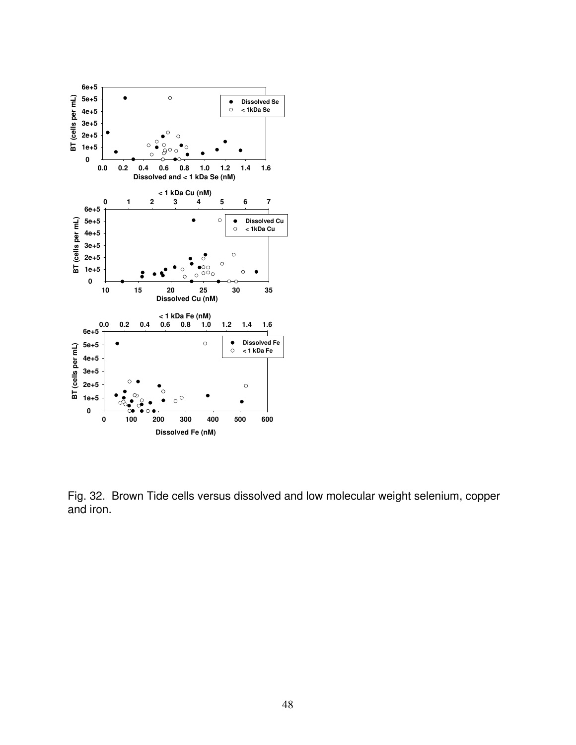

Fig. 32. Brown Tide cells versus dissolved and low molecular weight selenium, copper and iron.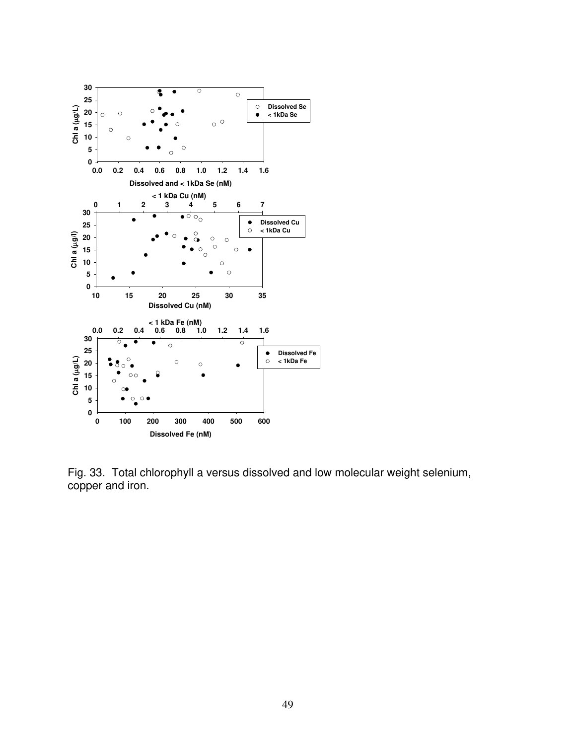

Fig. 33. Total chlorophyll a versus dissolved and low molecular weight selenium, copper and iron.